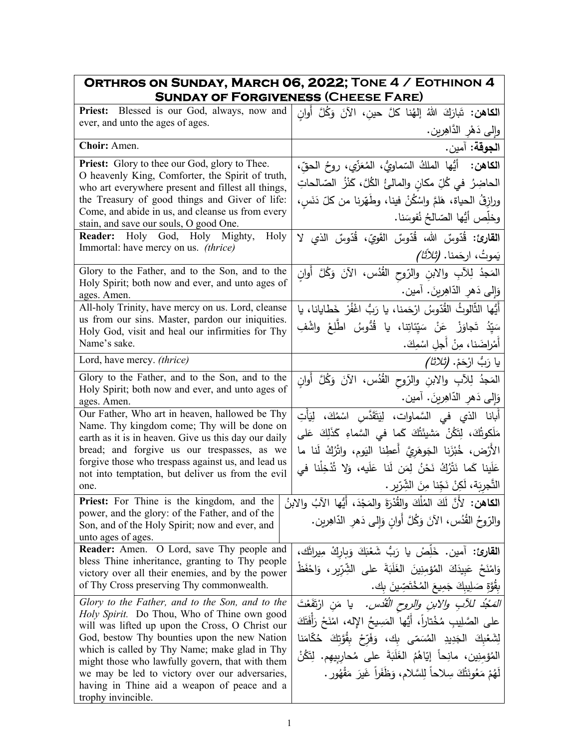| ORTHROS ON SUNDAY, MARCH 06, 2022; TONE 4 / EOTHINON 4<br><b>SUNDAY OF FORGIVENESS (CHEESE FARE)</b>                                                                                                                                                                                                                                                                                                                                |                                                                                                                                                                                                                                                                                                                                                                     |  |  |
|-------------------------------------------------------------------------------------------------------------------------------------------------------------------------------------------------------------------------------------------------------------------------------------------------------------------------------------------------------------------------------------------------------------------------------------|---------------------------------------------------------------------------------------------------------------------------------------------------------------------------------------------------------------------------------------------------------------------------------------------------------------------------------------------------------------------|--|--|
| <b>Priest:</b> Blessed is our God, always, now and<br>ever, and unto the ages of ages.                                                                                                                                                                                                                                                                                                                                              | ا <b>لكاهن:</b> تَبارَكَ اللهُ إلهُنا كلَّ حينِ، الآنَ وَكُلَّ أُوانِ<br>وإِلَى دَهْرِ الدَّاهِرِينِ.                                                                                                                                                                                                                                                               |  |  |
| Choir: Amen.                                                                                                                                                                                                                                                                                                                                                                                                                        | ا <b>لجوقة:</b> آمين.                                                                                                                                                                                                                                                                                                                                               |  |  |
| <b>Priest:</b> Glory to thee our God, glory to Thee.<br>O heavenly King, Comforter, the Spirit of truth,<br>who art everywhere present and fillest all things,<br>the Treasury of good things and Giver of life:<br>Come, and abide in us, and cleanse us from every<br>stain, and save our souls, O good One.<br>Reader: Holy God, Holy Mighty,<br>Holy                                                                            | الكاهن: أَيُّها الملكُ السّماويُّ، المُعَزِّي، روحُ الحقِّ،<br>الحاضِرُ  في كُلِّ مكانٍ والمالئُ الكُلَّ، كَنْزُ  الصّالحاتِ<br>ورازِقُ الحياة، هَلمَّ واسْكُنْ فينا، وطَهّرنا من كلّ دَنَسٍ،<br>وخلِّص أَيُّها الصّالحُ نُفوسَنا.                                                                                                                                  |  |  |
| Immortal: have mercy on us. (thrice)                                                                                                                                                                                                                                                                                                                                                                                                | ا <b>لقارئ:</b> قُدّوسٌ الله، قُدّوسٌ القَوِيّ، قُدّوسٌ الذي لا<br>يَموتُ، ارجَمنا. <i>(تَلاَثَا)</i>                                                                                                                                                                                                                                                               |  |  |
| Glory to the Father, and to the Son, and to the<br>Holy Spirit; both now and ever, and unto ages of<br>ages. Amen.                                                                                                                                                                                                                                                                                                                  | المَجدُ لِلأَبِ والابنِ والرّوحِ القُدُس، الآنَ وَكُلَّ أَوان<br>وَإِلَى دَهْرِ الدَّاهِرِينَ. آمين.                                                                                                                                                                                                                                                                |  |  |
| All-holy Trinity, have mercy on us. Lord, cleanse<br>us from our sins. Master, pardon our iniquities.<br>Holy God, visit and heal our infirmities for Thy<br>Name's sake.                                                                                                                                                                                                                                                           | أَيُّها الثَّالوثُ القُدّوسُ ارْحَمنا، يا رَبُّ اغْفُرْ خَطّايانا، يا<br>سَيّدُ تَجاوَزْ عَنْ سَيّئاتِنا، يا قُدُّوسُ اطّلِعْ واشْفِ<br>أَمْراضَنا، مِنْ أَجلِ اسْمِكَ.                                                                                                                                                                                             |  |  |
| Lord, have mercy. (thrice)                                                                                                                                                                                                                                                                                                                                                                                                          | يا رَبُّ ارْحَمْ. <i>(ثلاثا)</i>                                                                                                                                                                                                                                                                                                                                    |  |  |
| Glory to the Father, and to the Son, and to the<br>Holy Spirit; both now and ever, and unto ages of<br>ages. Amen.                                                                                                                                                                                                                                                                                                                  | المَجدُ لِلآبِ والابنِ والرّوحِ القُدُس، الآنَ وَكُلَّ أَوانِ<br>وَإِلَى دَهْرِ الدَّاهِرِينَ. آمين.                                                                                                                                                                                                                                                                |  |  |
| Our Father, Who art in heaven, hallowed be Thy<br>Name. Thy kingdom come; Thy will be done on<br>earth as it is in heaven. Give us this day our daily<br>bread; and forgive us our trespasses, as we<br>forgive those who trespass against us, and lead us<br>not into temptation, but deliver us from the evil<br>one.                                                                                                             | أَبانا الذي فى السَّماوات، لِيَتَقَدَّسِ اسْمُكَ، لِيَأْتِ<br>مَلَكوتُكَ، لِتَكُنْ مَشيئَتُكَ كَما في السَّماءِ كَذَلِكَ عَلى<br>الأَرْض، خُبْزَنا الجَوهَرِيَّ أَعطِنا اليَوم، واتْرُكْ لَنا ما<br>عَلَينا كَما نَتْرُكُ نَحْنُ لِمَن لَنا عَلَيه، وَلا تُذْخِلْنا في<br>التَّجرِيَة، لَكِنْ نَجِّنا مِنَ الشِّرّيرِ .                                             |  |  |
| الكاهن: لأَنَّ لَكَ المُلْكَ والقُدْرَةَ والمَجْدَ، أَيُّها الآبُ والابنُ   Priest: For Thine is the kingdom, and the<br>power, and the glory: of the Father, and of the<br>Son, and of the Holy Spirit; now and ever, and<br>unto ages of ages.                                                                                                                                                                                    | والرّوحُ القُدُسِ، الآنَ وَكُلَّ أَوانٍ وَإِلَى دَهْرِ الدّاهِرِينِ.                                                                                                                                                                                                                                                                                                |  |  |
| Reader: Amen. O Lord, save Thy people and<br>bless Thine inheritance, granting to Thy people<br>victory over all their enemies, and by the power<br>of Thy Cross preserving Thy commonwealth.                                                                                                                                                                                                                                       | القارئ: آمين. خَلِّصْ يا رَبُّ شَعْبَكَ وَبِارِكْ مِيراثَك،<br>وَامْنَحْ عَبِيدَكَ الْمُؤْمِنِينَ الغَلَبَةَ على الشِّرّيرِ ، وَاحْفَظْ<br>بِقُوَّةِ صَلِيبِكَ جَمِيعَ المُخْتَصِّينَ بِك.                                                                                                                                                                          |  |  |
| Glory to the Father, and to the Son, and to the<br><i>Holy Spirit.</i> Do Thou, Who of Thine own good<br>will was lifted up upon the Cross, O Christ our<br>God, bestow Thy bounties upon the new Nation<br>which is called by Thy Name; make glad in Thy<br>might those who lawfully govern, that with them<br>we may be led to victory over our adversaries,<br>having in Thine aid a weapon of peace and a<br>trophy invincible. | <i>المَجْدُ للأَبِ والابنِ والروح القُدُس.</i> يا مَنِ ارْتَفَعْتَ<br>على الصَّلِيبِ مُخْتاراً، أَيُّها المَسِيحُ اﻹله، امْنَحْ رَأَفَتَكَ<br>لِشَعْبِكَ الْجَدِيدِ الْمُسَمّى بِكَ، وَفَرِّحْ بِقُوَّتِكَ حُكَّامَنا<br>المُؤمِنِين، مانِحاً إِيّاهُمُ الغَلَبَةَ على مُحارِبِيهِم. لِتَكُنْ<br>لَهُمْ مَعُونَتُكَ سِلاحاً لِلسَّلامِ، وَظَفَراً غَيرَ مَقْهُورٍ . |  |  |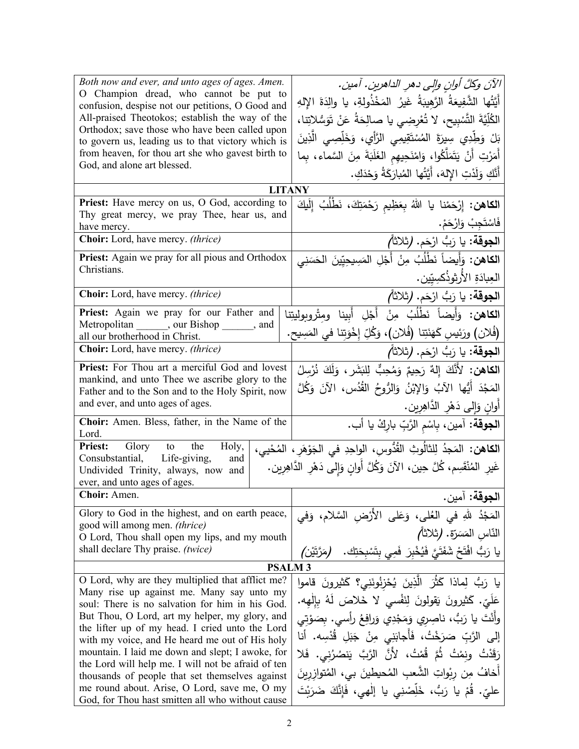| Both now and ever, and unto ages of ages. Amen.<br>O Champion dread, who cannot be put to<br>confusion, despise not our petitions, O Good and<br>All-praised Theotokos; establish the way of the | الآنَ وكلَّ أوانِ وإلى دهرِ الداهرينِ. آمينِ.<br>أَيَّتُها الشَّفِيعَةُ الرَّهِيبَةُ غَيرُ المَخْذُولةِ، يا والِدَةَ الإِلهِ<br>الكُلِّيَّةَ التَّسْبِيحِ، لا تُعْرِضِي يا صالِحَةُ عَنْ تَوَسُّلاتِنا، |  |  |
|--------------------------------------------------------------------------------------------------------------------------------------------------------------------------------------------------|---------------------------------------------------------------------------------------------------------------------------------------------------------------------------------------------------------|--|--|
| Orthodox; save those who have been called upon<br>to govern us, leading us to that victory which is                                                                                              | بَلْ وَطِّدِي سِيرَةَ المُسْتَقِيمِي الرَّأْيِ، وَخَلِّصِي الَّذِينَ                                                                                                                                    |  |  |
| from heaven, for thou art she who gavest birth to<br>God, and alone art blessed.                                                                                                                 | أَمَرْتِ أَنْ يَتَمَلَّكُوا، وَامْنَحِيهِم الغَلَبَةَ مِنَ السَّماء، بِما                                                                                                                               |  |  |
|                                                                                                                                                                                                  | أَنَّكِ وَلَدْتِ الإِلهَ، أَيَّتُها المُبارَكَةُ وَحْدَكِ.                                                                                                                                              |  |  |
| <b>LITANY</b>                                                                                                                                                                                    |                                                                                                                                                                                                         |  |  |
| Priest: Have mercy on us, O God, according to<br>Thy great mercy, we pray Thee, hear us, and                                                                                                     | ا <b>لكاهن:</b> إِرْحَمْنا يا اللهُ بِعَظِيم رَحْمَتِكَ، نَطْلُبُ إِلَيكَ                                                                                                                               |  |  |
| have mercy.                                                                                                                                                                                      | فَاسْتَجِبْ وَارْحَمْ.                                                                                                                                                                                  |  |  |
| Choir: Lord, have mercy. (thrice)                                                                                                                                                                | ا <b>لجوقة:</b> يا رَبُّ ارْحَم. (ثلاثاً <i>)</i>                                                                                                                                                       |  |  |
| Priest: Again we pray for all pious and Orthodox<br>Christians.                                                                                                                                  | ا <b>لكاهن:</b> وَأَيضاً نَطْلُبُ مِنْ أَجْلِ المَسِيحِيّينَ الحَسَنِي                                                                                                                                  |  |  |
|                                                                                                                                                                                                  | العِبادَةِ الأَرثوذُكسِيّين.                                                                                                                                                                            |  |  |
| Choir: Lord, have mercy. (thrice)                                                                                                                                                                | ا <b>لجوقة:</b> يا رَبُّ ارْحَم. (ثلاثاً <i>)</i>                                                                                                                                                       |  |  |
| Priest: Again we pray for our Father and                                                                                                                                                         | <b>الكاهن:</b> وَأَيضاً نَطْلُبُ مِنْ أَجْلِ أَبِينا ومِتْروبوليتِنا                                                                                                                                    |  |  |
| Metropolitan _______, our Bishop ______, and<br>all our brotherhood in Christ.                                                                                                                   | (فُلان) ورَئِيسِ كَهَنَتِنا (فُلان)، وَكُلِّ إِخْوَتِنا في المَسِيح.                                                                                                                                    |  |  |
| Choir: Lord, have mercy. (thrice)                                                                                                                                                                | ا <b>لجوقة:</b> يا رَبُّ ارْحَم. (ثلاثاً <i>)</i>                                                                                                                                                       |  |  |
| Priest: For Thou art a merciful God and lovest                                                                                                                                                   | ا <b>لْكاهن:</b> لأَنَّكَ إِلهٌ رَحِيمٌ وَمُحِبٌّ لِلبَشَرِ ، وَلَكَ نُرْسِلُ                                                                                                                           |  |  |
| mankind, and unto Thee we ascribe glory to the<br>Father and to the Son and to the Holy Spirit, now                                                                                              | المَجْدَ أَيُّها الآبُ وَالإِبْنُ وَالرُّوحُ القُدُسِ، الآنَ وَكُلَّ                                                                                                                                    |  |  |
| and ever, and unto ages of ages.                                                                                                                                                                 | أُوانِ وَإِلَى دَهْرِ الدَّاهِرِينِ.                                                                                                                                                                    |  |  |
| Choir: Amen. Bless, father, in the Name of the<br>Lord.                                                                                                                                          | ا <b>لجوقة:</b> آمين، بِاسْم الزَّبِّ بارِكْ يا أب.                                                                                                                                                     |  |  |
| <b>Priest:</b> Glory to the<br>Holy,                                                                                                                                                             | ا <b>لكاهن:</b> المَجدُ لِلثالُوثِ القُدُّوسِ، الواحِدِ في الجَوْهَرِ ، المُحْيي،                                                                                                                       |  |  |
| Consubstantial, Life-giving,<br>and<br>Undivided Trinity, always, now and<br>ever, and unto ages of ages.                                                                                        | غَيرِ المُنْقَسِم، كُلَّ حِين، الآنَ وَكُلَّ أُوانِ وَإِلى دَهْرِ الدَّاهِرِين.                                                                                                                         |  |  |
| Choir: Amen.                                                                                                                                                                                     | ا <b>لجوقة:</b> آمين.                                                                                                                                                                                   |  |  |
| Glory to God in the highest, and on earth peace,                                                                                                                                                 | المَجْدُ للهِ في العُلي، وَعَلى الأَرْضِ السَّلامِ، وَفي                                                                                                                                                |  |  |
| good will among men. <i>(thrice)</i><br>O Lord, Thou shall open my lips, and my mouth                                                                                                            | النّاس المَسَرّة. (ثلاثاً)                                                                                                                                                                              |  |  |
| shall declare Thy praise. (twice)                                                                                                                                                                | يا رَبُّ افْتَحْ شَفَتَيَّ فَيُخْبِرَ فَمِي بِتَسْبِحَتِك.<br>(مَرَّتَيْن)                                                                                                                              |  |  |
| <b>PSALM3</b>                                                                                                                                                                                    |                                                                                                                                                                                                         |  |  |
| O Lord, why are they multiplied that afflict me?                                                                                                                                                 | يا رَبُّ لِماذا كَثُرَ الَّذِينَ يُحْزِنُونَنِي؟ كَثيرونَ قاموا                                                                                                                                         |  |  |
| Many rise up against me. Many say unto my<br>soul: There is no salvation for him in his God.                                                                                                     | عَلَىِّ. كَثيرونَ يَقولونَ لِنَفْسي لا خَلاصَ لَهُ بِإِلْهِه.                                                                                                                                           |  |  |
| But Thou, O Lord, art my helper, my glory, and                                                                                                                                                   | وأَنْتَ يا رَبُّ، ناصِرِي وَمَجْدِي وَرافِعُ رأسي. بِصَوْتِي                                                                                                                                            |  |  |
| the lifter up of my head. I cried unto the Lord<br>with my voice, and He heard me out of His holy                                                                                                | إِلَى الرَّبِّ صَرَخْتُ، فَأَجابَنِي مِنْ جَبَلِ قُدْسِه. أَنا                                                                                                                                          |  |  |
| mountain. I laid me down and slept; I awoke, for                                                                                                                                                 | رَقَدْتُ ونِمْتُ ثُمَّ قُمْتُ، لأَنَّ الرَّبَّ يَنصُرُنِي. فَلا                                                                                                                                         |  |  |
| the Lord will help me. I will not be afraid of ten                                                                                                                                               | أخافُ مِن رِبْواتِ الشَّعبِ المُحيطينَ بي، المُتوازريِنَ                                                                                                                                                |  |  |
| thousands of people that set themselves against<br>me round about. Arise, O Lord, save me, O my                                                                                                  |                                                                                                                                                                                                         |  |  |
| God, for Thou hast smitten all who without cause                                                                                                                                                 | عليّ. قُمْ يا رَبُّ، خَلِّصْنِي يا إلٰهي، فَإِنَّكَ ضَرَبْتَ                                                                                                                                            |  |  |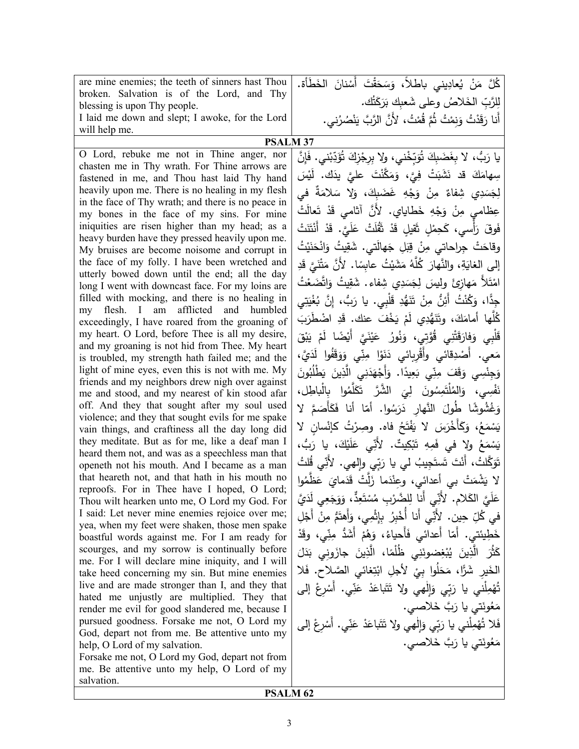| are mine enemies; the teeth of sinners hast Thou                                                   | كُلَّ مَنْ يُعادِيني باطلاً، وَسَحَقْتَ أَسْنانَ الخَطَأَة.                    |  |  |
|----------------------------------------------------------------------------------------------------|--------------------------------------------------------------------------------|--|--|
| broken. Salvation is of the Lord, and Thy                                                          | لِلرَّبِّ الخَلاصُ وعلى شَعبِك بَرَكَتُك.                                      |  |  |
| blessing is upon Thy people.                                                                       |                                                                                |  |  |
| I laid me down and slept; I awoke, for the Lord<br>will help me.                                   | أَنا رَقَدْتُ وَنِمْتُ ثُمَّ قُمْتُ، لأَنَّ الرَّبَّ يَنْصُرُني.               |  |  |
| <b>PSALM 37</b>                                                                                    |                                                                                |  |  |
| O Lord, rebuke me not in Thine anger, nor                                                          | يا رَبُّ، لا بِغَضَبِكَ تُوَبِّخْني، ولا بِرِجْزِكَ تُؤَدِّبْني. فَإِنَّ       |  |  |
| chasten me in Thy wrath. For Thine arrows are                                                      |                                                                                |  |  |
| fastened in me, and Thou hast laid Thy hand                                                        | سِهامَكَ قد نَشَبَتْ فِيًّ، وَمَكَّنْتَ عليَّ يدَك. لَيْسَ                     |  |  |
| heavily upon me. There is no healing in my flesh                                                   | لِجَسَدِي شِفاءٌ مِنْ وَجْهِ غَضَبِكَ، وَلا سَلامَةٌ في                        |  |  |
| in the face of Thy wrath; and there is no peace in                                                 |                                                                                |  |  |
| my bones in the face of my sins. For mine                                                          | عِظامي مِنْ وَجْهِ خَطاياي. لأَنَّ آثامي قَدْ تَعالَتْ                         |  |  |
| iniquities are risen higher than my head; as a                                                     | فَوقَ رَأْسي، كَحِمْلٍ ثَقيلٍ قَدْ ثَقُلَتْ عَلَيَّ. قَدْ أَنْتَنَتْ           |  |  |
| heavy burden have they pressed heavily upon me.<br>My bruises are become noisome and corrupt in    | وقاحَتْ جِراحاتي مِنْ قِبَلِ جَهالَتي. شَقِيتُ وَانْحَنَيْتُ                   |  |  |
| the face of my folly. I have been wretched and                                                     | إلى الغايَةِ، والنَّهارَ كُلَّهُ مَشَيْتُ عابِسًا. لأَنَّ مَتْنَىَّ قَدِ       |  |  |
| utterly bowed down until the end; all the day                                                      |                                                                                |  |  |
| long I went with downcast face. For my loins are                                                   | امْتَلاً مَهازِئٍ ولِيسَ لِجَسَدِي شِفاءٍ. شَقِيتُ وَاتَّضَعْتُ                |  |  |
| filled with mocking, and there is no healing in                                                    | جِدًّا، وَكُنْتُ أَئِنٌ مِنْ تَتَهُّدِ قَلْبِي. يا رَبُّ، إِنَّ بُغْيَتِي      |  |  |
| my flesh. I am afflicted and humbled                                                               | كُلُّها أمامَكَ، وتَنَهُّدِي لَمْ يَخْفَ عنك. قَدِ اضْطَرَبَ                   |  |  |
| exceedingly, I have roared from the groaning of<br>my heart. O Lord, before Thee is all my desire, |                                                                                |  |  |
| and my groaning is not hid from Thee. My heart                                                     | قَلْبِي وَفارَقَتْنِي قُوَّتِي، وَنُورُ عَيْنَيَّ أَيْضًا لَمْ يَبْقَ          |  |  |
| is troubled, my strength hath failed me; and the                                                   | مَعي. أَصْدِقائي وأَقْرِبائي دَنَوْا مِنِّي وَوَقَفُوا لَدَيَّ،                |  |  |
| light of mine eyes, even this is not with me. My                                                   | وَجِنْسِي وَقَفَ مِنِّي بَعِيدًا. وَأَجْهَدَنِي الَّذِينَ يَطْلُبُونَ          |  |  |
| friends and my neighbors drew nigh over against                                                    | نَفْسِي، وَالمُلْتَمِسُونَ لِيَ الشَّرَّ تَكَلَّمُوا بِالْباطِل،               |  |  |
| me and stood, and my nearest of kin stood afar<br>off. And they that sought after my soul used     |                                                                                |  |  |
| violence; and they that sought evils for me spake                                                  | وَغُشُوشًا طُولَ النَّهارِ دَرَسُوا. أمّا أنا فَكَأْصَمَّ لا                   |  |  |
| vain things, and craftiness all the day long did                                                   | يَسْمَعُ، وَكَأَخْرَسَ لا يَفْتَحُ فاه. وصِرْتُ كإنْسان لا                     |  |  |
| they meditate. But as for me, like a deaf man I                                                    | يَسْمَعُ ولا في فَمِهِ تَبْكِيتٌ. لأَنِّي عَلَيْكَ، يا رَبُّ،                  |  |  |
| heard them not, and was as a speechless man that                                                   | تَوَكَّلتُ، أَنْتَ تَستَجِيبُ لي يا رَبِّي وإلهي. لأُنِّي قُلتُ                |  |  |
| openeth not his mouth. And I became as a man                                                       |                                                                                |  |  |
| that heareth not, and that hath in his mouth no<br>reproofs. For in Thee have I hoped, O Lord;     | لا يَشْمَتْ بي أعدائي، وعِنْدَما زَلَّتْ قَدَمايَ عَظَّمُوا                    |  |  |
| Thou wilt hearken unto me, O Lord my God. For                                                      | عَلَيَّ الكَلام. لأَنِّي أَنا لِلضَّرْبِ مُسْتَعِدٍّ، وَوَجَعِي لَدَيَّ        |  |  |
| I said: Let never mine enemies rejoice over me;                                                    | في كُلِّ حِين. لأَنِّي أَنا أُخْبِرُ بِإِثْمِي، وَأَهتَمُّ مِنْ أَجْلِ         |  |  |
| yea, when my feet were shaken, those men spake                                                     |                                                                                |  |  |
| boastful words against me. For I am ready for                                                      | خَطِيئتي. أَمّا أَعدائي فَأَحياءُ، وَهُمْ أَشَدُّ مِنِّي، وقَدْ                |  |  |
| scourges, and my sorrow is continually before<br>me. For I will declare mine iniquity, and I will  | كَثُّرَ   الَّذِينَ   يُبْغِضونَنِي   ظُلُمًا،   الَّذِينَ   جازَونِي   بَدَلَ |  |  |
| take heed concerning my sin. But mine enemies                                                      | الْخَيرِ شَرًّا، مَحَلُوا بِيْ لأَجلِ ابْتِغائي الصَّلاحِ. فَلا                |  |  |
| live and are made stronger than I, and they that                                                   | تُهْمِلْني يا رَبِّي وَإِلْهِي ولا تَتَباعَدْ عَنِّي. أَسْرِعْ إلى             |  |  |
| hated me unjustly are multiplied. They that                                                        |                                                                                |  |  |
| render me evil for good slandered me, because I                                                    | مَعُونَتي يا رَبَّ خَلاصي.                                                     |  |  |
| pursued goodness. Forsake me not, O Lord my                                                        | فَلا تُهْمِلْني يا رَبِّي وَإِلٰهي ولا تَتَباعَدْ عَنِّي. أَسْرِعْ إلى         |  |  |
| God, depart not from me. Be attentive unto my<br>help, O Lord of my salvation.                     | مَعُونَتي يا رَبَّ خَلاصي.                                                     |  |  |
| Forsake me not, O Lord my God, depart not from                                                     |                                                                                |  |  |
| me. Be attentive unto my help, O Lord of my                                                        |                                                                                |  |  |
| salvation.                                                                                         |                                                                                |  |  |
| <b>PSALM 62</b>                                                                                    |                                                                                |  |  |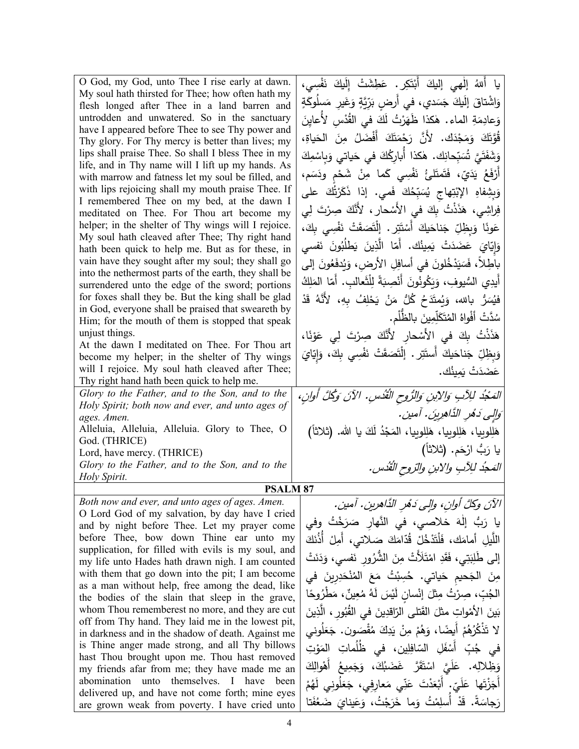| O God, my God, unto Thee I rise early at dawn.<br>My soul hath thirsted for Thee; how often hath my<br>flesh longed after Thee in a land barren and<br>untrodden and unwatered. So in the sanctuary<br>have I appeared before Thee to see Thy power and | يا أَللهُ إلٰهي إليكَ أَبْتَكِرٍ . عَطِشَتْ إِلَيكَ نَفْسِي،<br>وَاشْتاقَ إِلَيكَ جَسَدي، في أَرضِ بَرِّيَّةٍ وَغَيرِ  مَسلُوكَةٍ<br>وَعادِمَةِ الماء. هٰكذا ظَهَرْتُ لَكَ في القُدْسِ لأَعايِنَ |
|---------------------------------------------------------------------------------------------------------------------------------------------------------------------------------------------------------------------------------------------------------|--------------------------------------------------------------------------------------------------------------------------------------------------------------------------------------------------|
| Thy glory. For Thy mercy is better than lives; my                                                                                                                                                                                                       | قُوَّتَكَ وَمَجْدَكَ. لأَنَّ رَحْمَتَكَ أَفْضَلُ مِنَ الْحَياةِ،                                                                                                                                 |
| lips shall praise Thee. So shall I bless Thee in my                                                                                                                                                                                                     | وَشَفَتَيَّ تُسَبِّحانِك. هٰكذا أُبارِكُكَ في حَياتي وَبِاسْمِكَ                                                                                                                                 |
| life, and in Thy name will I lift up my hands. As<br>with marrow and fatness let my soul be filled, and                                                                                                                                                 | أَرْفَعُ يَدَيّ، فَتَمتَلئُ نَفْسِي كَما مِنْ شَحْمٍ ودَسَمٍ،                                                                                                                                    |
| with lips rejoicing shall my mouth praise Thee. If                                                                                                                                                                                                      | وَبِشِفاهِ الإِبْتِهاج يُسَبِّحُكَ فَمي. إذا ذَكَرْتُّكَ على                                                                                                                                     |
| I remembered Thee on my bed, at the dawn I                                                                                                                                                                                                              |                                                                                                                                                                                                  |
| meditated on Thee. For Thou art become my                                                                                                                                                                                                               | فِراشِي، هَذَذْتُ بِكَ في الأَسْحارِ ، لأَنَّكَ صِرْتَ لِي                                                                                                                                       |
| helper; in the shelter of Thy wings will I rejoice.<br>My soul hath cleaved after Thee; Thy right hand                                                                                                                                                  | عَونًا وَبِظِلِّ جَناحَيكَ أَسْتَتِرٍ . إِنَّصَقَتْ نَفْسِي بِكَ،                                                                                                                                |
| hath been quick to help me. But as for these, in                                                                                                                                                                                                        | وَإِيّايَ عَضَدَتْ يَمِينُك. أَمّا الَّذِينَ يَطْلُبُونَ نَفسى                                                                                                                                   |
| vain have they sought after my soul; they shall go                                                                                                                                                                                                      | باطِلاً، فَسَيَدْخُلونَ في أسافِلِ الأرض، وَيُدفَعُونَ إلى                                                                                                                                       |
| into the nethermost parts of the earth, they shall be                                                                                                                                                                                                   | أيدِي السُّيوفِ، وَيَكُونُونَ أَنْصِبَةً لِلْثَعالبِ. أمّا المَلِكُ                                                                                                                              |
| surrendered unto the edge of the sword; portions<br>for foxes shall they be. But the king shall be glad                                                                                                                                                 |                                                                                                                                                                                                  |
| in God, everyone shall be praised that sweareth by                                                                                                                                                                                                      | فيُسَرُّ بالله، وَيُمتَدَحُ كُلُّ مَنْ يَحْلِفُ بِهِ، لأَنَّهُ قَدْ                                                                                                                              |
| Him; for the mouth of them is stopped that speak                                                                                                                                                                                                        | سُدَّتْ أَفْواهُ المُتَكَلِّمِينَ بالظَّلْمِ.                                                                                                                                                    |
| unjust things.<br>At the dawn I meditated on Thee. For Thou art                                                                                                                                                                                         | هَذَذْتُ بِكَ في الأَسْحارِ لأَنَّكَ صِرْتَ لِي عَوْنًا،                                                                                                                                         |
| become my helper; in the shelter of Thy wings                                                                                                                                                                                                           | وَبِظِلِّ جَناحَيكَ أَستَتِرٍ . إِلْتَصَقَتْ نَفْسِي بِكَ، وَإِيّايَ                                                                                                                             |
| will I rejoice. My soul hath cleaved after Thee;                                                                                                                                                                                                        | عَضَدَتْ يَمِينُك.                                                                                                                                                                               |
| Thy right hand hath been quick to help me.                                                                                                                                                                                                              |                                                                                                                                                                                                  |
| Glory to the Father, and to the Son, and to the<br>Holy Spirit; both now and ever, and unto ages of                                                                                                                                                     | المَعْبُدُ لِلِأَبِ وَالِأَبِنِ وَالرُّوحِ الْقُدُسِ. الآنَ وَكُلَّ أُوانِ،                                                                                                                      |
| ages. Amen.                                                                                                                                                                                                                                             | وَالِي دَهْرِ الذَّاهِرِينَ. آمين.                                                                                                                                                               |
| Alleluia, Alleluia, Alleluia. Glory to Thee, O                                                                                                                                                                                                          | هَلِلوبِيا، هَلِلوبِيا، هَلِلوبِيا، المَجْدُ لَكَ يا الله. (ثلاثاً)                                                                                                                              |
| God. (THRICE)<br>Lord, have mercy. (THRICE)                                                                                                                                                                                                             | يا رَبُّ ارْحَم. (ثلاثاً)                                                                                                                                                                        |
| Glory to the Father, and to the Son, and to the                                                                                                                                                                                                         | المَعجُد للِآبِ والابنِ والرّوحِ القُدُسِ.                                                                                                                                                       |
| Holy Spirit.                                                                                                                                                                                                                                            |                                                                                                                                                                                                  |
| <b>PSALM 87</b><br>Both now and ever, and unto ages of ages. Amen.                                                                                                                                                                                      |                                                                                                                                                                                                  |
| O Lord God of my salvation, by day have I cried                                                                                                                                                                                                         | الآنَ وكلَّ أوانِ، وإلى دَهْرِ الدَّاهرينِ. آمين.                                                                                                                                                |
| and by night before Thee. Let my prayer come                                                                                                                                                                                                            | يا رَبُّ إِلٰهَ خلاصي، في النَّهار صَرَخْتُ وفي                                                                                                                                                  |
| before Thee, bow down Thine ear unto my                                                                                                                                                                                                                 | اللَّيلِ أَمامَكَ، فَلْتَذْخُلْ قُدّامَكَ صَلاتي، أَمِلْ أَذُنَكَ                                                                                                                                |
| supplication, for filled with evils is my soul, and                                                                                                                                                                                                     | إِلَى طَٰلِبَتِي، فَقَدِ امْتَلَأَتْ مِنَ الشُّرُورِ نَفْسَى، وَدَنَتْ                                                                                                                           |
| my life unto Hades hath drawn nigh. I am counted<br>with them that go down into the pit; I am become                                                                                                                                                    | مِنَ الْجَحيمِ حَياتي. حُسِبْتُ مَعَ الْمُنْحَدِرِينَ في                                                                                                                                         |
| as a man without help, free among the dead, like                                                                                                                                                                                                        |                                                                                                                                                                                                  |
| the bodies of the slain that sleep in the grave,                                                                                                                                                                                                        | الجُبِّ، صِرْتُ مِثْلَ إِنْسانٍ لَيْسَ لَهُ مُعِينٌ، مَطْرُوحًا                                                                                                                                  |
| whom Thou rememberest no more, and they are cut<br>off from Thy hand. They laid me in the lowest pit,                                                                                                                                                   | بَينَ الأَمْواتِ مثلَ الفَتلى الرّاقدِينَ في القُبُورِ ، الَّذِينَ                                                                                                                               |
| in darkness and in the shadow of death. Against me                                                                                                                                                                                                      | لا تَذْكُرُهُمْ أَيضًا، وَهُمْ مِنْ يَدِكَ مُقْصَون. جَعَلُوني                                                                                                                                   |
| is Thine anger made strong, and all Thy billows                                                                                                                                                                                                         | في جُبِّ أَسْفَلِ السّافِلِين، في ظُلُماتِ المَوْتِ                                                                                                                                              |
| hast Thou brought upon me. Thou hast removed<br>my friends afar from me; they have made me an                                                                                                                                                           | وَظِلالِه. عَلَيَّ اسْتَقَرَّ غَضَبُكَ، وَجَمِيعُ أَهْوالِكَ                                                                                                                                     |
| abomination unto themselves. I have been                                                                                                                                                                                                                | أَجَزْتَها عَلَيّ. أَبْعَدْتَ عَنِّي مَعارِفي، جَعَلُونِي لَهُمْ                                                                                                                                 |
| delivered up, and have not come forth; mine eyes                                                                                                                                                                                                        |                                                                                                                                                                                                  |
| are grown weak from poverty. I have cried unto                                                                                                                                                                                                          | رَجاسَةً. قَدْ أَسلِمْتُ وَما خَرَجْتُ، وَعَينايَ ضَعُفَتا                                                                                                                                       |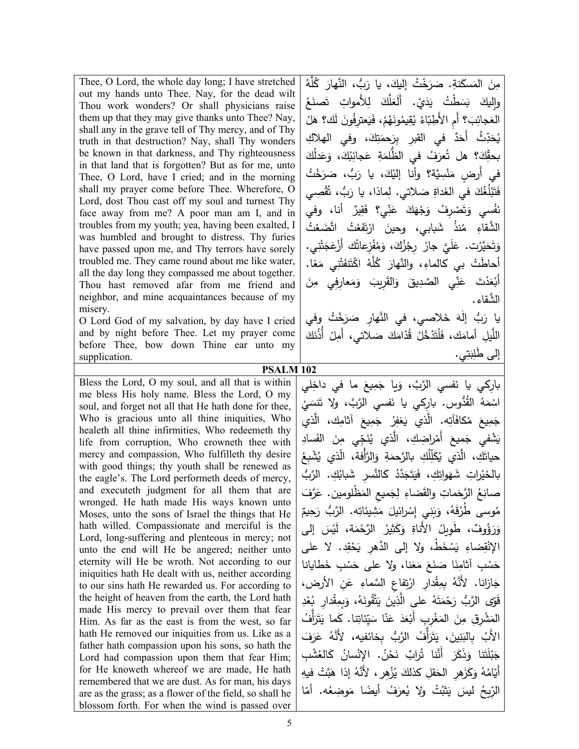| Thee, O Lord, the whole day long; I have stretched   |
|------------------------------------------------------|
| out my hands unto Thee. Nay, for the dead wilt       |
| Thou work wonders? Or shall physicians raise         |
| them up that they may give thanks unto Thee? Nay,    |
| shall any in the grave tell of Thy mercy, and of Thy |
| truth in that destruction? Nay, shall Thy wonders    |
| be known in that darkness, and Thy righteousness     |
| in that land that is forgotten? But as for me, unto  |
| Thee, O Lord, have I cried; and in the morning       |
| shall my prayer come before Thee. Wherefore, O       |
| Lord, dost Thou cast off my soul and turnest Thy     |
| face away from me? A poor man am I, and in           |
| troubles from my youth; yea, having been exalted, I  |
| was humbled and brought to distress. Thy furies      |
| have passed upon me, and Thy terrors have sorely     |
| troubled me. They came round about me like water,    |
| all the day long they compassed me about together.   |
| Thou hast removed afar from me friend and            |
| neighbor, and mine acquaintances because of my       |
| misery.                                              |
| O Lead Cod of my colvotion by doy hove Louisd        |

O Lord God of my salvation, by day have I cried and by night before Thee. Let my prayer come before Thee, bow down Thine ear unto my supplication.

**PSALM 102**  Bless the Lord, O my soul, and all that is within me bless His holy name. Bless the Lord, O my soul, and forget not all that He hath done for thee, Who is gracious unto all thine iniquities, Who healeth all thine infirmities, Who redeemeth thy life from corruption, Who crowneth thee with mercy and compassion, Who fulfilleth thy desire with good things; thy youth shall be renewed as the eagle's. The Lord performeth deeds of mercy, and executeth judgment for all them that are wronged. He hath made His ways known unto Moses, unto the sons of Israel the things that He hath willed. Compassionate and merciful is the Lord, long-suffering and plenteous in mercy; not unto the end will He be angered; neither unto eternity will He be wroth. Not according to our iniquities hath He dealt with us, neither according to our sins hath He rewarded us. For according to the height of heaven from the earth, the Lord hath made His mercy to prevail over them that fear Him. As far as the east is from the west, so far hath He removed our iniquities from us. Like as a father hath compassion upon his sons, so hath the Lord had compassion upon them that fear Him; for He knoweth whereof we are made, He hath remembered that we are dust. As for man, his days are as the grass; as a flower of the field, so shall he blossom forth. For when the wind is passed over

مِنَ المَسكَنةِ. صَرَخْتُ إليكَ، يا رَبُّ، النَّهارَ كُلَّهُ<br>والصَّالِبُ الصَّالِبُ اللَّهَ عَمَّاسًا مِنْ اللَّهَ عَمَّاسًا مِنَّاسًا مِنَّاسًا مِنَّاسًا مِنَّاسًا مِنَّا  $\zeta$ ن<br>نع تَصن<sup>َ</sup> للأموات لَعَلَّكَ لِ ّ . أَل ȑَ ʙ َ <sup>ی</sup> ʗُ ʢْ َ ʶَ Ǽ َ واليك .<br>-<sup>ق</sup>الُ لك<mark>؟ هَ</mark> َ ل ڣٞۅڹؘ العَجائِبَ؟ أَمِ الأَطِبّاءُ يُقِيمُونَهُمْ، فَيَعترِفُهُ ْ ثُ أَحَدٌ في القبرِ بِرَحمَتِكَ، وفي الهلاكِ ؙِۣ<br>؞<br>؞ ǽ ان<br>ا اكَ<br>ا َʙل َع ،َ و ʥُ وو<br>يېلې بحقِّكَ؟ هل تُعرَفُ في الظُّلمَةِ عَجائِ<br>. ؘ<br>رَخْتُ سَرَد<br>… في أُرضٍ مَنْسِيَّة؟ وأنا إليْكَ، يا رَبُّ، صَ<sub>ّ</sub><br>مَمْدُ <u>َ</u> <sub>ڦ</sub>ُّصِـي ُق َرَبُّ، تَأ فَتَبْلُغُكَ في الغَداةِ صَلاتي. لِماذا، يا رَد<br>\* **ٔ** ٌ أنا، وفي ُّفْسي وَتَصُّرِفُ وَجُهَكَ عَذِّي؟ فَقِيرٌ<br>. ف ان<br>ا ن مُتُ<br>ا ِّ ضَعْا مْتُ اتَّ<br>. ةَ<br>قع <sup>ی</sup>َفَ ت .<br>ا ُنذ شَبابي، وحي*نَ* ارْڌَ<br>م ءِ مُا الشَّقاءِ وَتَحَيَّرْت. عَلَيَّ جازَ رِجْزُكَ، وَمُفْزِعاتُك أَزْعَجَتْنِي.<br>وَيَتَحَيَّرْت ميرب. عليٰ جار رِجرت، وم<br>مَرَ ت ʻْ ʱ **:** ʳَ ڒ۬ۼؘ ُʥ أَ <sup>نْ</sup>زِعاتُ ف م ا. ً َع أحاطَتْ بي كالماءِ، والنَّهارَ كُلَّهُ اكْتَنَفَتْنِي مَ<br>مَ ِّبُّ ʧِ فِي مِ <sub>ى</sub>عار<u>ە</u> َم أَبْعَدْتَ عَنِّي الصَّدِيقَ وَالقَرِيبَ وَه الشَّقاء. ٰ يا رَبُّ إِلَٰهَ خَلاصي، في النَّهارِ صَرَخْتُ وفي<br>-اللَّيلِ أَمامَك، فَلْتَدْخُلْ قُدّامَكَ صَلاتي، أَمِلْ أَذُنَكَ إ<u>لى طَلِبَتِي.</u>

بارِكي يا نَفسي الرَّبَّ، وَبِا جَمِيعَ ما في داخِلي<br>. **ٔ** اسْمَهُ القُدُوسِ. بارِكِي يا نَفسي الرَّبَّ، ولا نَتسَيْ<br>ِ جَمِيعَ مُكافَأَتِه. الَّذي يَغفِرُ جَمِيعَ آثامِك، الَّذي ِي ّ ʳَ ʻ ُ َّȑʚ ی ْ ِʛاض ِʥ، ال َ أَم َʺॽع َ ْʷفي ج ǽ ِ َʶاد َ الف ʧِ م حياتَكِ، الَّذ*ي* يُكَلِّلُكِ بالرَّحمَةِ وَالرَّأْفة، الَّذ*ي* يُشْبِعُ بالخَيْراتِ شَهَواتِكِ، فَيَتَجَدَّدُ كَالنَّسْرِ شَبابُكِ. الرَّبُّ صانِعُ الرَّحَماتِ والقَضاءِ لِجَميعِ المَظْلومين. عَرَّفَ<br>. مُوسى طُرُقَهُ، وَبَنِي إِسْرائيلَ مَشِيئاتِه. الرَّبُّ رَحِيمٌ وَرَؤُوفٌ، طَوِيلُ الأَناةِ وَكَثِيرُ الرَّحْمَة، لَيْسَ إلى الإِنْقِضاءِ يَسْخَطُ، ولا إلى الدَّهرِ يَحْقِد. لا على حَسْبِ أثامِنَا صَنَعَ مَعَنا، ولا على حَسْبِ خَطايانا<br>تَصَرْبُ مَسَمَّدًا جَازانا. لأَنَّهُ بِمِقْدارِ ارْتِفاعِ السَّماءِ عَنِ الأرض،<br>م .<br>م قَوّى الرَّبُ رَحْمَتَهُ على الَّذِينَ يَتَّقُونَهُ، وَبِمِقْدارِ بُعْدِ المَشْرِقِ مِنَ المَغْرِبِ أَبْعَدَ عَنّا سَيِّئاتِنا. كَما يَتَزَأَّفُ<br>ا َ َف ʛَ ُ ع ُف َّ الʛُّب ِʵǼائॽɿه، لأََّنه َّ أ َ ʛَ ʱ َ َ ، ی ʧʽِ ʻ َ ʰالǼِ ُ الأَب جَبْلَتَنا وَذَكَرَ أَنَّنا تُرابٌ نَحْنُ. الإِنْسانُ كَالغُشْبِ<br>\* **ٔ** ِ هॽɾ ʗْ ʰَّ َ ُ إذا ه ُْʜِهʛ، لأََّنه َ ی َ ِقل ؗʚلʥ َ ِهʛ الʴ ʜَ َؗ ُ و ه ّام أَǽ ا<br>ا الرِّيحُ ليسَ يَثْبُتُ ولا يُعرَفُ أيضًا مَوضِعُه. أمّا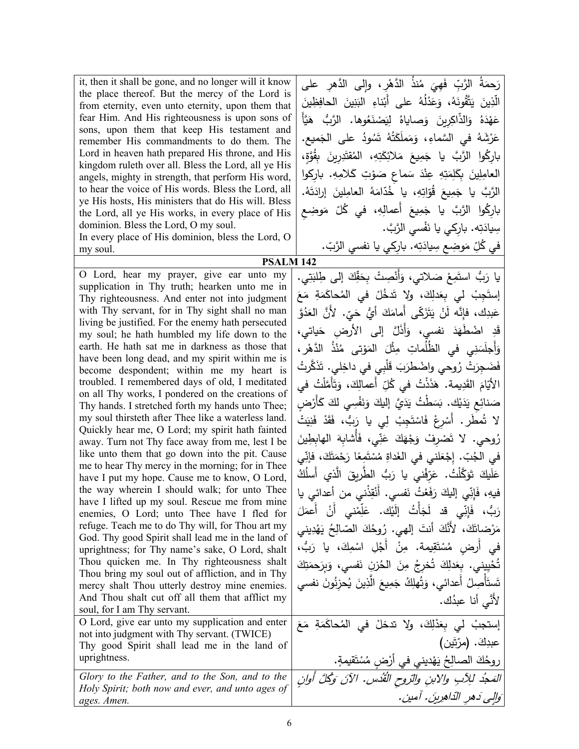| the place thereof. But the mercy of the Lord is<br>from eternity, even unto eternity, upon them that<br>fear Him. And His righteousness is upon sons of<br>sons, upon them that keep His testament and<br>remember His commandments to do them. The<br>Lord in heaven hath prepared His throne, and His<br>kingdom ruleth over all. Bless the Lord, all ye His<br>angels, mighty in strength, that perform His word,<br>to hear the voice of His words. Bless the Lord, all<br>ye His hosts, His ministers that do His will. Bless<br>the Lord, all ye His works, in every place of His<br>dominion. Bless the Lord, O my soul.<br>In every place of His dominion, bless the Lord, O<br>my soul.<br><b>PSALM 142</b>                                                                                                                                                                                                                                                                                                                                                                                                                                                                                                                                                                                                                                                                                                                         | الَّذِينَ يَتَّقُونَهُ، وَعَذْلُهُ على أَبْناءِ البَنِينَ الحافِظِينَ<br>عَهْدَهُ وَالذَّاكِرِينَ وَصاياهُ لِيَصْنَعُوها. الرَّبُّ هَيَّأً<br>عَرْشَهُ في السَّماءِ، وَمَملَكَتُهُ شَمُودُ على الجَميع.<br>باركُوا الرَّبَّ يا جَمِيعَ مَلائِكَتِهِ، المُقتَدِرِينَ بِقُوَّةٍ،<br>العامِلِينَ بِكَلِمَتِهِ عِنْدَ سَماعٍ صَوْتِ كَلامِهِ. باركوا<br>الرَّبَّ يا جَمِيعَ قُوّاتِهِ، يا خُدّامَهُ العامِلينَ إرادَتَهُ.<br>بارِكُوا الرَّبَّ يا جَمِيعَ أَعمالِهِ، في كُلّ مَوضِع<br>سِيادَتِه. باركي يا نَفْسي الرَّبَّ.<br>في كُلِّ مَوضِعٍ سِيادَتِه. بارِكي يا نفسي الرَّبّ.                                                                                                                                                                                                                                                                                                                                                                                                                                                                                                                                                                                                                                                               |
|----------------------------------------------------------------------------------------------------------------------------------------------------------------------------------------------------------------------------------------------------------------------------------------------------------------------------------------------------------------------------------------------------------------------------------------------------------------------------------------------------------------------------------------------------------------------------------------------------------------------------------------------------------------------------------------------------------------------------------------------------------------------------------------------------------------------------------------------------------------------------------------------------------------------------------------------------------------------------------------------------------------------------------------------------------------------------------------------------------------------------------------------------------------------------------------------------------------------------------------------------------------------------------------------------------------------------------------------------------------------------------------------------------------------------------------------|----------------------------------------------------------------------------------------------------------------------------------------------------------------------------------------------------------------------------------------------------------------------------------------------------------------------------------------------------------------------------------------------------------------------------------------------------------------------------------------------------------------------------------------------------------------------------------------------------------------------------------------------------------------------------------------------------------------------------------------------------------------------------------------------------------------------------------------------------------------------------------------------------------------------------------------------------------------------------------------------------------------------------------------------------------------------------------------------------------------------------------------------------------------------------------------------------------------------------------------------|
| O Lord, hear my prayer, give ear unto my                                                                                                                                                                                                                                                                                                                                                                                                                                                                                                                                                                                                                                                                                                                                                                                                                                                                                                                                                                                                                                                                                                                                                                                                                                                                                                                                                                                                     |                                                                                                                                                                                                                                                                                                                                                                                                                                                                                                                                                                                                                                                                                                                                                                                                                                                                                                                                                                                                                                                                                                                                                                                                                                              |
| supplication in Thy truth; hearken unto me in<br>Thy righteousness. And enter not into judgment<br>with Thy servant, for in Thy sight shall no man<br>living be justified. For the enemy hath persecuted<br>my soul; he hath humbled my life down to the<br>earth. He hath sat me in darkness as those that<br>have been long dead, and my spirit within me is<br>become despondent; within me my heart is<br>troubled. I remembered days of old, I meditated<br>on all Thy works, I pondered on the creations of<br>Thy hands. I stretched forth my hands unto Thee;<br>my soul thirsteth after Thee like a waterless land.<br>Quickly hear me, O Lord; my spirit hath fainted<br>away. Turn not Thy face away from me, lest I be<br>like unto them that go down into the pit. Cause<br>me to hear Thy mercy in the morning; for in Thee<br>have I put my hope. Cause me to know, O Lord,<br>the way wherein I should walk; for unto Thee<br>have I lifted up my soul. Rescue me from mine<br>enemies, O Lord; unto Thee have I fled for<br>refuge. Teach me to do Thy will, for Thou art my<br>God. Thy good Spirit shall lead me in the land of<br>uprightness; for Thy name's sake, O Lord, shalt<br>Thou quicken me. In Thy righteousness shalt<br>Thou bring my soul out of affliction, and in Thy<br>mercy shalt Thou utterly destroy mine enemies.<br>And Thou shalt cut off all them that afflict my<br>soul, for I am Thy servant. | يا رَبُّ استَمِعْ صَلاتي، وَأَنْصِتْ بِحَقِّكَ إِلَى طِلبَتِي.<br>إِستَجِبْ ل <sub>َّ</sub> ى بِعَدلِكَ، ولا تَدخُلْ في المُحاكَمَةِ مَعَ<br>عَبدِك، فإِنَّه لَنْ يَتَزَكَّى أَمامَكَ أَيُّ حَيّ. لأَنَّ الْعَدُوَّ<br>قَدِ اضْطُهَدَ نفسي، وَأَذَلَّ إلى الأرضِ حَياتي،<br>وَأَجلَسَنِي في الظُلُماتِ مِثْلَ المَوْتي مُنْذُ الدَّهْرِ ،<br>فَضَجِرَتْ رُوحي واضْطرَبَ قَلْبِي في داخِلي. تَذَكَّرتُ<br>الأَيّامَ القَدِيمة. هَذَذْتُ في كُلِّ أعمالِكَ، وَتَأَمَّلْتُ في<br>صَنائِعِ يَدَيْك. بَسَطْتُ يَدَيَّ إِليكَ وَنَفْسِي لَكَ كَأَرْضِ<br>لا شُطَرٍ . أَسْرِعْ فَاسْتَجِبْ لِي يا رَبُّ، فَقَدْ فَنِيَتْ<br>رُوحي. لا تَصْرِفْ وَجْهَكَ عَنِّي، فَأَشابِهَ الهابِطِينَ<br>في الجُبِّ. إِجْعَلني في الغَداةِ مُسْتَمِعًا رَحْمَتَكَ، فإنِّي<br>عَلَيكَ تَوَكَّلْتُ. عَرّفْنى يا رَبُّ الطّريقَ الّذي أَسلُكُ<br>فيهِ، فَإِنِّي إِليكَ رَفَعْتُ نَفسي. أَنْقِذْني من أعدائي يا<br>رَبُّ، فَإِنِّي قد لَجَأْتُ إِلَيْكَ. عَلِّمْنِي أَنْ أَعمَلَ<br>مَرْضاتَكَ، لأَنَّكَ أَنتَ إلهي. رُوحُكَ الصّالِحُ يَهْدِيني<br>في أرض مُسْتَقِيمة. مِنْ أَجْلِ اسْمِكَ، يا رَبُّ،<br>تُحْيِيني. بِعَدلِكَ تُخرِجُ مِنَ الْحُزنِ نَفسيٍ، وَبِرَحمَتِكَ<br>تَستَأْصِلُ أَعدائي، وَتُهلِكُ جَمِيعَ الَّذِينَ يُحزِنُونَ نفسي<br>ِ لأَنَّى أنا عبدُك. |
| O Lord, give ear unto my supplication and enter                                                                                                                                                                                                                                                                                                                                                                                                                                                                                                                                                                                                                                                                                                                                                                                                                                                                                                                                                                                                                                                                                                                                                                                                                                                                                                                                                                                              | إستجبْ لي بِعَذْلِكَ، ولا تدخلْ في المُحاكَمَةِ مَعَ                                                                                                                                                                                                                                                                                                                                                                                                                                                                                                                                                                                                                                                                                                                                                                                                                                                                                                                                                                                                                                                                                                                                                                                         |
| not into judgment with Thy servant. (TWICE)                                                                                                                                                                                                                                                                                                                                                                                                                                                                                                                                                                                                                                                                                                                                                                                                                                                                                                                                                                                                                                                                                                                                                                                                                                                                                                                                                                                                  | عبدِكَ. (مرّتَين)                                                                                                                                                                                                                                                                                                                                                                                                                                                                                                                                                                                                                                                                                                                                                                                                                                                                                                                                                                                                                                                                                                                                                                                                                            |
| Thy good Spirit shall lead me in the land of<br>uprightness.                                                                                                                                                                                                                                                                                                                                                                                                                                                                                                                                                                                                                                                                                                                                                                                                                                                                                                                                                                                                                                                                                                                                                                                                                                                                                                                                                                                 |                                                                                                                                                                                                                                                                                                                                                                                                                                                                                                                                                                                                                                                                                                                                                                                                                                                                                                                                                                                                                                                                                                                                                                                                                                              |
|                                                                                                                                                                                                                                                                                                                                                                                                                                                                                                                                                                                                                                                                                                                                                                                                                                                                                                                                                                                                                                                                                                                                                                                                                                                                                                                                                                                                                                              | روحُكَ الصالِحُ يَهْديني في أَرْضٍ مُسْتَقيمةٍ.                                                                                                                                                                                                                                                                                                                                                                                                                                                                                                                                                                                                                                                                                                                                                                                                                                                                                                                                                                                                                                                                                                                                                                                              |
| Glory to the Father, and to the Son, and to the<br>Holy Spirit; both now and ever, and unto ages of                                                                                                                                                                                                                                                                                                                                                                                                                                                                                                                                                                                                                                                                                                                                                                                                                                                                                                                                                                                                                                                                                                                                                                                                                                                                                                                                          | المَجُد للِآبِ والابنِ والتروحِ القُدْسِ. الآنَ وَكُلَّ أُوانِ                                                                                                                                                                                                                                                                                                                                                                                                                                                                                                                                                                                                                                                                                                                                                                                                                                                                                                                                                                                                                                                                                                                                                                               |
| ages. Amen.                                                                                                                                                                                                                                                                                                                                                                                                                                                                                                                                                                                                                                                                                                                                                                                                                                                                                                                                                                                                                                                                                                                                                                                                                                                                                                                                                                                                                                  | وَالِي دَهرِ الدّاهِرِينَ. آمين.                                                                                                                                                                                                                                                                                                                                                                                                                                                                                                                                                                                                                                                                                                                                                                                                                                                                                                                                                                                                                                                                                                                                                                                                             |
|                                                                                                                                                                                                                                                                                                                                                                                                                                                                                                                                                                                                                                                                                                                                                                                                                                                                                                                                                                                                                                                                                                                                                                                                                                                                                                                                                                                                                                              |                                                                                                                                                                                                                                                                                                                                                                                                                                                                                                                                                                                                                                                                                                                                                                                                                                                                                                                                                                                                                                                                                                                                                                                                                                              |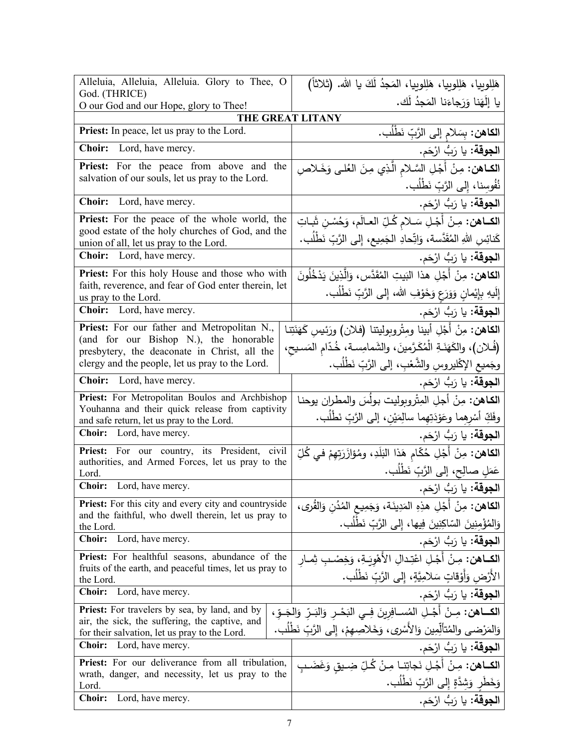| Alleluia, Alleluia, Alleluia. Glory to Thee, O<br>God. (THRICE)                                        | هَلِلوبِيا، هَلِلوبِيا، هَلِلوبِيا، المَجدُ لَكَ يا الله. (ثلاثاً)                   |
|--------------------------------------------------------------------------------------------------------|--------------------------------------------------------------------------------------|
| O our God and our Hope, glory to Thee!                                                                 | يا إِلَهَنا وَرَجاءَنا المَجدُ لَك.                                                  |
| THE GREAT LITANY                                                                                       |                                                                                      |
| <b>Priest:</b> In peace, let us pray to the Lord.                                                      | ا <b>لكاهن:</b> بِسَلام إلى الرَّبِّ نَطْلُب.                                        |
| <b>Choir:</b> Lord, have mercy.                                                                        | ا <b>لجوقة:</b> يا رَبُّ ارْحَم.                                                     |
| <b>Priest:</b> For the peace from above and the                                                        | الكاهن: مِنْ أَجْلِ السَّلامِ الَّذِي مِنَ العُلْيِ وَخَـلاصِ                        |
| salvation of our souls, let us pray to the Lord.                                                       | نُفُوسِنا، إِلى الرَّبِّ نَطْلُب.                                                    |
| Lord, have mercy.<br><b>Choir:</b>                                                                     | ا <b>لجوقة:</b> يا رَبُّ ارْحَم.                                                     |
| <b>Priest:</b> For the peace of the whole world, the                                                   | الكــاهن: مِـنْ أَجْـلِ سَـلام كُـلِّ العـالَم، وَحُسْنِ شَباتِ                      |
| good estate of the holy churches of God, and the                                                       | كَنائِسِ اللهِ المُقَدَّسة، وَاتِّحادِ الجَمِيعِ، إِلى الرَّبِّ نَطْلُب.             |
| union of all, let us pray to the Lord.                                                                 |                                                                                      |
| <b>Choir:</b> Lord, have mercy.                                                                        | ا <b>لجوقة:</b> يا رَبُّ ارْحَم.                                                     |
| Priest: For this holy House and those who with                                                         | ا <b>لكاهن:</b> مِنْ أَجْلِ هذا البَيتِ المُقَدَّسِ، وَالَّذِينَ يَدْخُلُونَ         |
| faith, reverence, and fear of God enter therein, let<br>us pray to the Lord.                           | إِلَيهِ بِإِيْمانِ وَوَرَعٍ وَخَوْفِ الله، إِلى الرَّبِّ نَطْلُب.                    |
| Choir: Lord, have mercy.                                                                               | ا <b>لجوقة:</b> يا رَبُّ ارْحَم.                                                     |
| Priest: For our father and Metropolitan N.,                                                            | الكاهن: مِنْ أَجْلِ أبينا ومِتْروبِوليتنا (فلان) ورَئِيسِ كَهَنَتِنا                 |
| (and for our Bishop N.), the honorable<br>presbytery, the deaconate in Christ, all the                 | (فُلان)، والكَهَذَةِ الْمُكَرَّمينَ، والشَمامِسة، خُدّامِ المَسيحِ،                  |
| clergy and the people, let us pray to the Lord.                                                        | وجَميع الإكْليروسِ والشَّعْبِ، إلى الرَّبِّ نَطْلَب.                                 |
| <b>Choir:</b> Lord, have mercy.                                                                        | ا <b>لجوقة:</b> يا رَبُّ ارْحَم.                                                     |
| Priest: For Metropolitan Boulos and Archbishop                                                         | الكاهن: مِنْ أجلِ المِتْروبِوليت بولُسَ والمطران يوحنا                               |
| Youhanna and their quick release from captivity<br>and safe return, let us pray to the Lord.           | وفَكِّ أَسْرِهِما وعَوْدَتِهِما سالِمَيْنِ، إلى الرَّبِّ نَطْلَبٍ.                   |
| Choir: Lord, have mercy.                                                                               | ا <b>لجوقة:</b> يا رَبُّ ارْحَم.                                                     |
| Priest: For our country, its President, civil                                                          | ا <b>لكاهن:</b> مِنْ أَجْلِ حُكّام هَذا البَلَدِ، ومُؤازَرَتِهِمْ في كُلِّ           |
| authorities, and Armed Forces, let us pray to the<br>Lord.                                             | عَمَلٍ صالِحٍ، إلى الرَّبِّ نَطْلُبٍ.                                                |
| Choir: Lord, have mercy.                                                                               | ا <b>لجوقة:</b> يا رَبُّ ارْحَم.                                                     |
| <b>Priest:</b> For this city and every city and countryside                                            | ا <b>لكاهن:</b> مِنْ أَجْلِ هذِهِ المَدِينَة، وَجَمِيعِ المُدُنِ وَالقُرى،           |
| and the faithful, who dwell therein, let us pray to<br>the Lord.                                       | وَالْمُؤْمِنِينَ السّاكِنِينَ فِيها، إِلى الرَّبِّ نَطْلُب.                          |
| Choir:<br>Lord, have mercy.                                                                            | ا <b>لجوقة:</b> يا رَبُّ ارْحَم.                                                     |
| <b>Priest:</b> For healthful seasons, abundance of the                                                 | ا <b>لكــاهن:</b> مِـنْ أَجْـلِ اعْتِدالِ الأَهْوِيَـةِ، وَخِصْـبِ ثِمـارِ           |
| fruits of the earth, and peaceful times, let us pray to<br>the Lord.                                   | الأَرْضِ وَأَوْقاتٍ سَلامِيَّةٍ، إِلى الرَّبِّ نَطْلُب.                              |
| <b>Choir:</b><br>Lord, have mercy.                                                                     | ا <b>لجوقة:</b> يا رَبُّ ارْحَم.                                                     |
| <b>Priest:</b> For travelers by sea, by land, and by<br>air, the sick, the suffering, the captive, and | الكـــاهن: مِــنْ أَجْـلِ المُســافِرِينَ فِــي النَحْــرِ وَالنَــرِّ وَالجَــوِّ ، |
| for their salvation, let us pray to the Lord.                                                          | وَالمَرْضـى والمُتألِّمِين وَالأَسْرِى، وَخَلاصِهِمْ، إِلـى الرَّبِّ نَطْلُب.        |
| <b>Choir:</b><br>Lord, have mercy.                                                                     | ا <b>لجوقة:</b> يا رَبُّ ارْحَم.                                                     |
| Priest: For our deliverance from all tribulation,                                                      | ا <b>لكــاهن:</b> مِـنْ أَجْـلِ نَجاتِنـا مِـنْ كُـلِّ ضِـيق وَغَضَـبِ               |
| wrath, danger, and necessity, let us pray to the<br>Lord.                                              | وَخَطَرٍ وَشِدَّةٍ إِلى الرَّبِّ نَطْلُبٍ.                                           |
| Lord, have mercy.<br><b>Choir:</b>                                                                     | ا <b>لجوقة:</b> يا رَبُّ ارْحَم.                                                     |
|                                                                                                        |                                                                                      |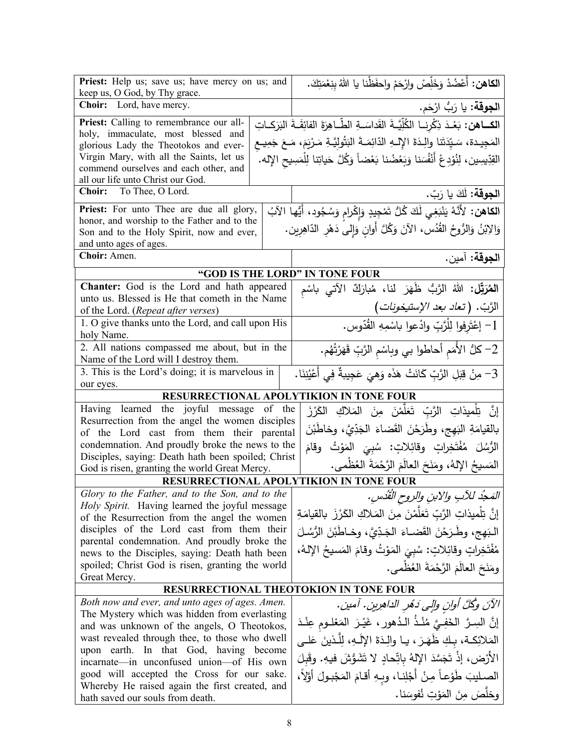| Priest: Help us; save us; have mercy on us; and<br>keep us, O God, by Thy grace.               | ا <b>لكاهن:</b> أَعْضُدْ وَخَلِّصْ وارْحَمْ واحفَظْنا يا اللهُ بنِعْمَتِكَ.                      |  |  |
|------------------------------------------------------------------------------------------------|--------------------------------------------------------------------------------------------------|--|--|
| Choir: Lord, have mercy.                                                                       | ا <b>لجوقة:</b> يا رَبُّ ارْحَم.                                                                 |  |  |
| Priest: Calling to remembrance our all-                                                        | الكــاهن: بَعْـدَ ذِكْرِنــا الكُلِّيَّــةَ القَداسَــةِ الطِّـاهِرَةَ الفائِقَــةَ البَرَكــاتِ |  |  |
| holy, immaculate, most blessed and<br>glorious Lady the Theotokos and ever-                    | المَجِيدة، سَيِّدَتَنا والِدَةَ الإِلـهِ الدّائِمَـةَ البَتُولِيَّـةِ مَـرْيَمَ، مَـعَ جَمِيــع  |  |  |
| Virgin Mary, with all the Saints, let us                                                       | القِدِّيسِين، لِنُوْدِعْ أَنْفُسَنا وَبَعْضُنا بَعْضاً وَكُلَّ حَياتِنا لِلْمَسِيحِ الإِله. ۖ    |  |  |
| commend ourselves and each other, and                                                          |                                                                                                  |  |  |
| all our life unto Christ our God.                                                              |                                                                                                  |  |  |
| Choir: To Thee, O Lord.                                                                        | ا <b>لجوقة:</b> لَكَ يا رَبّ.                                                                    |  |  |
| Priest: For unto Thee are due all glory,                                                       | ا <b>لكاهن:</b> لأَنَّهُ يَنْبَغِي لَكَ كُلُّ تَمْجِيدٍ وَإِكْرامٍ وَسُجُودٍ، أَيُّها الآبُ      |  |  |
| honor, and worship to the Father and to the                                                    | وَالِابْنُ وَالرُّوحُ القُدُسِ، الآنَ وَكُلَّ أُوانِ وَإِلَى دَهْرِ الدَّاهِرِينِ.               |  |  |
| Son and to the Holy Spirit, now and ever,<br>and unto ages of ages.                            |                                                                                                  |  |  |
| Choir: Amen.                                                                                   | ا <b>لجوقة:</b> آمين.                                                                            |  |  |
|                                                                                                |                                                                                                  |  |  |
| Chanter: God is the Lord and hath appeared                                                     | "GOD IS THE LORD" IN TONE FOUR<br>المُرَبِّل: اللهُ الرَّبُّ ظَهَرَ لَنا، مُبارَكٌ الآتي باسْم   |  |  |
| unto us. Blessed is He that cometh in the Name                                                 |                                                                                                  |  |  |
| of the Lord. (Repeat after verses)                                                             |                                                                                                  |  |  |
| 1. O give thanks unto the Lord, and call upon His<br>holy Name.                                | الرَّبّ. (تع <i>اد بعد الإستيخونات)</i><br>1– إعْتَرِفوا لِلْرَّبِّ وادْعوا باسْمِهِ القُدّوس.   |  |  |
| 2. All nations compassed me about, but in the                                                  | 2– كلُّ الأُمَم أحاطوا بي وباسْم الرَّبِّ قَهَرْتُهُم.                                           |  |  |
| Name of the Lord will I destroy them.                                                          |                                                                                                  |  |  |
| 3. This is the Lord's doing; it is marvelous in                                                | 3- مِنْ قِبَلِ الرَّبِّ كَانَتْ هَذَه وَهِيَ عَجِيبةٌ فِي أَعْيُنِنَا.                           |  |  |
| our eyes.                                                                                      |                                                                                                  |  |  |
|                                                                                                | RESURRECTIONAL APOLYTIKION IN TONE FOUR                                                          |  |  |
| Having learned the joyful message of the                                                       | إِنَّ   تِلْميذاتِ   الرَّبِّ   تَعَلَّمْنَ   مِنَ   المَلاكِ   الكَرْزَ                         |  |  |
| Resurrection from the angel the women disciples<br>of the Lord cast from them their parental   | بالقيامَةِ البَهِج، وطَرَحْنَ القَضاءَ الْجَدِّيَّ، وخاطَبْنَ                                    |  |  |
| condemnation. And proudly broke the news to the                                                | الرُّسُلَ مُفْتَخِراتٍ وقائِلاتٍ: سُبِيَ المَوْتُ وقامَ                                          |  |  |
| Disciples, saying: Death hath been spoiled; Christ                                             |                                                                                                  |  |  |
| God is risen, granting the world Great Mercy.                                                  | المَسيحُ اﻹلهُ، ومَنَحَ العالَمَ الرَّحْمَةَ العُظْمي.                                           |  |  |
|                                                                                                | <b>RESURRECTIONAL APOLYTIKION IN TONE FOUR</b>                                                   |  |  |
| Glory to the Father, and to the Son, and to the                                                | المَحدُ للآبِ والابنِ والروحِ الْقُدْسِ.                                                         |  |  |
| Holy Spirit. Having learned the joyful message<br>of the Resurrection from the angel the women | إنَّ تِلْميذاتِ الرَّبِّ تَعَلَّمْنَ مِنَ المَلاكِ الكَرْزَ بِالقيامَةِ                          |  |  |
| disciples of the Lord cast from them their                                                     | البَهج، وطَرَحْنَ القَضاءَ الجَدِّيَّ، وخـاطَبْنَ الرُّسُلَ                                      |  |  |
| parental condemnation. And proudly broke the                                                   |                                                                                                  |  |  |
| news to the Disciples, saying: Death hath been                                                 | مُفْتَخِراتٍ وقائِلاتٍ: سُبِيَ المَوْتُ وقامَ المَسيحُ الإِلـهُ،                                 |  |  |
| spoiled; Christ God is risen, granting the world                                               | ومَنَحَ العالَمَ الرَّحْمَةَ العُظْمي.                                                           |  |  |
| Great Mercy.                                                                                   | <b>RESURRECTIONAL THEOTOKION IN TONE FOUR</b>                                                    |  |  |
| Both now and ever, and unto ages of ages. Amen.                                                |                                                                                                  |  |  |
| The Mystery which was hidden from everlasting                                                  | الآنَ وكُلَّ أُوانِ والِي دَهْرِ الداهرِينِ. آمينِ.                                              |  |  |
| and was unknown of the angels, O Theotokos,                                                    | إِنَّ السِـرَّ الخَفِـيَّ مُنْـذُ الـدُهورِ ، غَيْـرَ المَعْلـومِ عِنْـدَ                        |  |  |
| wast revealed through thee, to those who dwell                                                 | المَلائِكة، بـكِ ظُهَرَ ، يـا والِـدَةَ الإِلَـهِ، لِلَّـذينَ عَلــى                             |  |  |
| upon earth. In that God, having become                                                         | الأَرْضِ، إِذْ تَجَسَّدَ الإِلهُ بِاتِّحادٍ لا تَشَوُّشَ فيهِ. وقَبلَ                            |  |  |
| incarnate—in unconfused union—of His own<br>good will accepted the Cross for our sake.         |                                                                                                  |  |  |
| Whereby He raised again the first created, and                                                 | الصليبَ طَوْعاً مِنْ أَجْلِنا، وبِهِ أقامَ المَجْبُولَ أَوَّلاً،                                 |  |  |
| hath saved our souls from death.                                                               | وخلَصَ مِنَ المَوْتِ نُفوسَنا.                                                                   |  |  |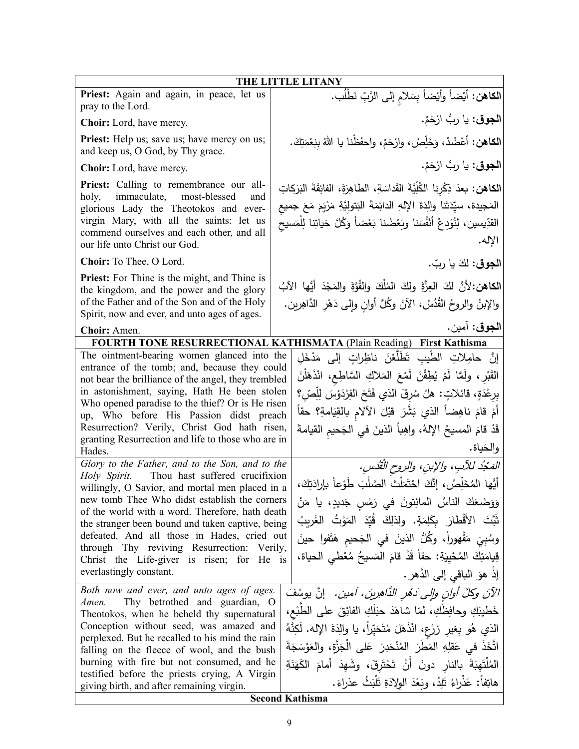| <b>THE LITTLE LITANY</b>                                                                                                                                                                                                                                                                                                                                                                                                                                                                                                                                                                                                                                                                                                                                                                                                                                                                                                                                                                                                                                                                                                                                                                                                                                                                                                                                                                                                                                                                                                                                                                                                                                                                                              |  |  |  |
|-----------------------------------------------------------------------------------------------------------------------------------------------------------------------------------------------------------------------------------------------------------------------------------------------------------------------------------------------------------------------------------------------------------------------------------------------------------------------------------------------------------------------------------------------------------------------------------------------------------------------------------------------------------------------------------------------------------------------------------------------------------------------------------------------------------------------------------------------------------------------------------------------------------------------------------------------------------------------------------------------------------------------------------------------------------------------------------------------------------------------------------------------------------------------------------------------------------------------------------------------------------------------------------------------------------------------------------------------------------------------------------------------------------------------------------------------------------------------------------------------------------------------------------------------------------------------------------------------------------------------------------------------------------------------------------------------------------------------|--|--|--|
| الكاهن: أيْضاً وأيْضاً بِسَلامِ إلى الرَّبِّ نَطْلُب.                                                                                                                                                                                                                                                                                                                                                                                                                                                                                                                                                                                                                                                                                                                                                                                                                                                                                                                                                                                                                                                                                                                                                                                                                                                                                                                                                                                                                                                                                                                                                                                                                                                                 |  |  |  |
| ا <b>لجوق</b> : يا ربُّ ارْحَمْ.                                                                                                                                                                                                                                                                                                                                                                                                                                                                                                                                                                                                                                                                                                                                                                                                                                                                                                                                                                                                                                                                                                                                                                                                                                                                                                                                                                                                                                                                                                                                                                                                                                                                                      |  |  |  |
| الكاهن: أَعْضُدْ، وَخَلِّصْ، وارْحَمْ، واحفَظْنا يا اللهُ بِنِعْمَتِكَ.                                                                                                                                                                                                                                                                                                                                                                                                                                                                                                                                                                                                                                                                                                                                                                                                                                                                                                                                                                                                                                                                                                                                                                                                                                                                                                                                                                                                                                                                                                                                                                                                                                               |  |  |  |
| ا <b>لجوق</b> : يا ربُّ ارْحَمْ.                                                                                                                                                                                                                                                                                                                                                                                                                                                                                                                                                                                                                                                                                                                                                                                                                                                                                                                                                                                                                                                                                                                                                                                                                                                                                                                                                                                                                                                                                                                                                                                                                                                                                      |  |  |  |
| ا <b>لكاهن:</b> بعدَ ذِكْرِنا الكُلِّيَّةَ القَداسَةِ، الطاهِرَةَ، الفائِقَةَ البَرَكاتِ<br>المَجيدة، سيِّدَتَنا والِدَةَ الإِلهِ الدائِمَةَ البَتولِيَّةِ مَرْيَمَ مَعَ جميع<br>القدِّيسين، لِنُؤدِعْ أَنْفُسَنا وبَعْضُنا بَعْضاً وَكُلَّ حَياتِنا لِلْمَسيح<br>الإله.                                                                                                                                                                                                                                                                                                                                                                                                                                                                                                                                                                                                                                                                                                                                                                                                                                                                                                                                                                                                                                                                                                                                                                                                                                                                                                                                                                                                                                              |  |  |  |
| ا <b>لجوق:</b> لكَ يا ربّ.                                                                                                                                                                                                                                                                                                                                                                                                                                                                                                                                                                                                                                                                                                                                                                                                                                                                                                                                                                                                                                                                                                                                                                                                                                                                                                                                                                                                                                                                                                                                                                                                                                                                                            |  |  |  |
| الكاهن:لأنَّ لكَ العِزَّةَ ولكَ المُلْكَ والقُوَّةَ والمَجْدَ أَيُّها الآبُ<br>والإبنُ والروحُ القُدُسُ، الآنَ وكُلَّ أوانِ وإلى دَهْرِ الدَّاهِرين.                                                                                                                                                                                                                                                                                                                                                                                                                                                                                                                                                                                                                                                                                                                                                                                                                                                                                                                                                                                                                                                                                                                                                                                                                                                                                                                                                                                                                                                                                                                                                                  |  |  |  |
| ا <b>لجوق</b> : آمين.                                                                                                                                                                                                                                                                                                                                                                                                                                                                                                                                                                                                                                                                                                                                                                                                                                                                                                                                                                                                                                                                                                                                                                                                                                                                                                                                                                                                                                                                                                                                                                                                                                                                                                 |  |  |  |
| FOURTH TONE RESURRECTIONAL KATHISMATA (Plain Reading) First Kathisma<br>The ointment-bearing women glanced into the<br>إِنَّ حامِلاتِ الطَّيبِ تَطَلَّعْنَ ناظِراتٍ إِلَى مَدْخَلِ<br>entrance of the tomb; and, because they could<br>القَبْرِ ، ولَمَّا لَمْ يُطِقْنَ لَمْعَ المَلاكِ السَّاطِع، انْذَهَلْنَ<br>not bear the brilliance of the angel, they trembled<br>in astonishment, saying, Hath He been stolen<br>بِرِعْدَةٍ، قائلاتٍ: هلْ سُرقَ الذي فَتَحَ الفِرْدَوْسَ لِلِّصِّ؟<br>Who opened paradise to the thief? Or is He risen<br>أُمْ قَامَ ناهِضاً الذي بَشَّرَ قَبْلَ الْأَلامِ بِالْقِيَامَةِ؟ حقاً<br>up, Who before His Passion didst preach<br>Resurrection? Verily, Christ God hath risen,<br>قَدْ قامَ المسيحُ الإلهُ، واهِباً الذينَ في الجَحيم القيامةَ<br>granting Resurrection and life to those who are in<br>والحَياة.<br>Glory to the Father, and to the Son, and to the<br>المَحْدُ للآبِ، والإبنِ، والروح القُدْسِ.<br>Thou hast suffered crucifixion<br>أَيُّها المُخَلِّصُ، إنَّكَ احْتَمَلْتَ الصَّلْبَ طَوْعاً بإرادَتِكَ،<br>willingly, O Savior, and mortal men placed in a<br>new tomb Thee Who didst establish the corners<br>وَوَضَعَكَ الناسُ المائِتونَ في رَمْسِ جَديدٍ، يا مَنْ<br>of the world with a word. Therefore, hath death<br>ثَبَّتَ الأَقْطَارَ بِكَلِمَةٍ. ولذلكَ قُيِّدَ المَوْتُ الغَريبُ<br>the stranger been bound and taken captive, being<br>defeated. And all those in Hades, cried out<br>وسُبِيَ مَقْهوراً، وكُلُّ الذينَ في الْجَحيم هَتَفوا حينَ<br>through Thy reviving Resurrection: Verily,<br>قِيامَتِكَ المُحْيِيَةِ: حقاً قَدْ قامَ المَسيحُ مُعْطَيِ الحياة،<br>Christ the Life-giver is risen; for He is<br>إذ هوَ الباقي إلى الدَّهرِ . |  |  |  |
| الآنَ وكلَّ أوانِ وإلى دَهْرِ الذَّاهِرِينَ. آمين. [نَّ يوسُفَ<br>خَطْيبَكِ وحافِظَكِ، لمّا شاهَدَ حبَلَكِ الفائِقَ على الطَّبْع،<br>Theotokos, when he beheld thy supernatural<br>الذي هُو بِغير زِرْعٍ، انْذَهَلَ مُتَحَيِّراً، يا والِدَةَ الإِله. لَكِنَّهُ<br>perplexed. But he recalled to his mind the rain<br>اتَّخَذَ في عَقلِهِ المَطْرَ المُنْحَدِرَ عَلَى الْجَزَّةِ، والعَوْسَجَةَ<br>الْمُلْتَهِبَةَ بِالنارِ دونَ أَنْ تَحْتَرِقَ، وشَهِدَ أَمامَ الْكَهَنَةِ<br>هاتِفاً: عَذْراءُ تَلِدُ، وبَعْدَ الولادَةِ تَلْبَثُ عذراءَ.<br><b>Second Kathisma</b>                                                                                                                                                                                                                                                                                                                                                                                                                                                                                                                                                                                                                                                                                                                                                                                                                                                                                                                                                                                                                                                                                                                                                |  |  |  |
|                                                                                                                                                                                                                                                                                                                                                                                                                                                                                                                                                                                                                                                                                                                                                                                                                                                                                                                                                                                                                                                                                                                                                                                                                                                                                                                                                                                                                                                                                                                                                                                                                                                                                                                       |  |  |  |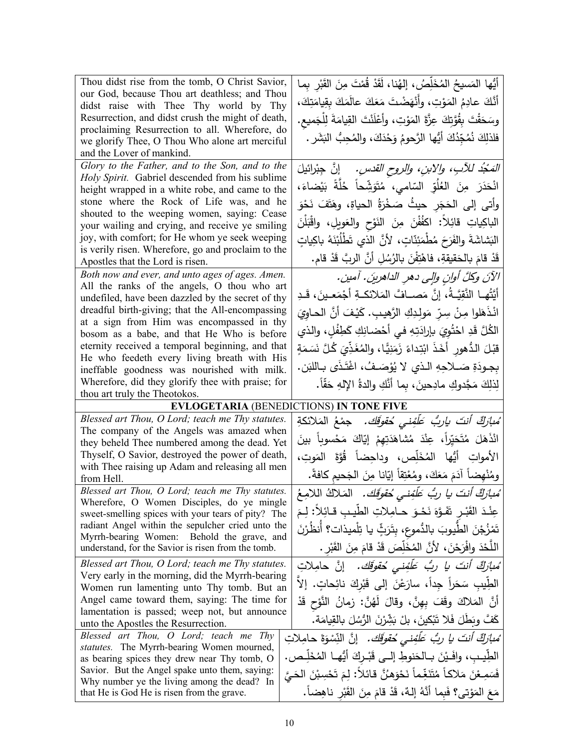| Thou didst rise from the tomb, O Christ Savior,<br>our God, because Thou art deathless; and Thou<br>didst raise with Thee Thy world by Thy<br>Resurrection, and didst crush the might of death,<br>proclaiming Resurrection to all. Wherefore, do<br>we glorify Thee, O Thou Who alone art merciful<br>and the Lover of mankind.                                                                                                                                                                                                                                                                                                                                                                                                                                                                                                                                                                                                                             | أَيُّها المَسيحُ المُخَلِّصُ، إلهُنا، لَقَدْ قُمْتَ مِنَ القَبْرِ بِما<br>أَنَّكَ عادِمُ المَوْتِ، وأَنْهَضْتَ مَعَكَ عالَمَكَ بِقِيامَتِكَ،<br>وسَحَقْتَ بِقُوَّتِكَ عِزَّةَ المَوْتِ، وأَعْلَنْتَ القِيامَةَ لِلْجَميعِ.<br>فلذلِكَ نُمُجِّدُكَ أَيُّها الرَّحومُ وَحْدَكَ، والمُحِبُّ البَشَرِ .                                                                                                                                                                                                                                                                                                                                                                                                                                                                                                                                                                                                            |  |
|--------------------------------------------------------------------------------------------------------------------------------------------------------------------------------------------------------------------------------------------------------------------------------------------------------------------------------------------------------------------------------------------------------------------------------------------------------------------------------------------------------------------------------------------------------------------------------------------------------------------------------------------------------------------------------------------------------------------------------------------------------------------------------------------------------------------------------------------------------------------------------------------------------------------------------------------------------------|----------------------------------------------------------------------------------------------------------------------------------------------------------------------------------------------------------------------------------------------------------------------------------------------------------------------------------------------------------------------------------------------------------------------------------------------------------------------------------------------------------------------------------------------------------------------------------------------------------------------------------------------------------------------------------------------------------------------------------------------------------------------------------------------------------------------------------------------------------------------------------------------------------------|--|
| Glory to the Father, and to the Son, and to the<br>Holy Spirit. Gabriel descended from his sublime<br>height wrapped in a white robe, and came to the<br>stone where the Rock of Life was, and he<br>shouted to the weeping women, saying: Cease<br>your wailing and crying, and receive ye smiling<br>joy, with comfort; for He whom ye seek weeping<br>is verily risen. Wherefore, go and proclaim to the<br>Apostles that the Lord is risen.<br>Both now and ever, and unto ages of ages. Amen.<br>All the ranks of the angels, O thou who art<br>undefiled, have been dazzled by the secret of thy<br>dreadful birth-giving; that the All-encompassing<br>at a sign from Him was encompassed in thy<br>bosom as a babe, and that He Who is before<br>eternity received a temporal beginning, and that<br>He who feedeth every living breath with His<br>ineffable goodness was nourished with milk.<br>Wherefore, did they glorify thee with praise; for | <i>التَّمْجُدُ للأَبِ، والابنِ، والروح القدسِ.</i> ﴿ إِنَّ جِبْرائيلَ<br>انْحَدَرَ مِنَ العُلُوِّ السّامي، مُتَوَشِّحاً خُلَّةً بَيْضاءَ،<br>وأتى إلى الحَجَر حيثُ صَخْرَةُ الحياةِ، وهَتَفَ نَحْوَ<br>الْباكِياتِ قائِلاً: اكفُفْنَ مِنَ النَوْحِ والعَويلِ، واقْبَلْنَ<br>النَشاشَةَ والفَرَحَ مُطْمَئِنَّاتٍ، لأنَّ الذي تَطْلُبْنَهُ باكِياتٍ<br>قَدْ قامَ بالحَقيقةِ، فاهْتِفْنَ بالرُسُلِ أَنَّ الربَّ قَدْ قام.<br>الآنَ وكلَّ أوانِ وإلى دهرِ الداهرينَ. آمين.<br>أَيَّتُهــا النَّقِيَّــةُ، إنَّ مَصـــافَّ المَلائكــةِ أَجْمَعــينَ، قَــدِ<br>انْذَهَلوا مِنْ سِرِّ مَولِدِكِ الرَّهيبِ. كَيْفَ أَنَّ الحـاوِيَ<br>الكُلَّ قَدِ احْتُوِيَ بإرادَتِهِ في أَحْضانِكِ كَطِفْلٍ، والذي<br>قَبْلَ الدُّهورِ أَخَذَ ابْتِداءً زَمَنِيًّا، والمُغَذِّيَ كُلَّ نَسَمَةٍ<br>بِجودَةِ صَــلاجِهِ الـذي لا يُوْصَـفُ، اغْتَـذَى بـاللبَن.<br>لِذلِكَ مَجَّدوكِ مادِحينَ ، بما أَنَّكِ والدةُ الإِلهِ حَقًّا. |  |
| thou art truly the Theotokos.<br><b>EVLOGETARIA (BENEDICTIONS) IN TONE FIVE</b>                                                                                                                                                                                                                                                                                                                                                                                                                                                                                                                                                                                                                                                                                                                                                                                                                                                                              |                                                                                                                                                                                                                                                                                                                                                                                                                                                                                                                                                                                                                                                                                                                                                                                                                                                                                                                |  |
| Blessed art Thou, O Lord; teach me Thy statutes.<br>The company of the Angels was amazed when<br>they beheld Thee numbered among the dead. Yet<br>Thyself, O Savior, destroyed the power of death,<br>with Thee raising up Adam and releasing all men<br>from Hell.                                                                                                                                                                                                                                                                                                                                                                                                                                                                                                                                                                                                                                                                                          | ُ <i>مْبارَكٌ أَنتَ ياربٌ عَلَّفِني حُقوقَك.</i> جمْعُ المَلائكةِ<br>انْذَهَلَ مُتَحَيِّراً، عِنْدَ مُشاهَدَتِهِمْ إيّاكَ مَحْسوباً بينَ<br>الأمواتِ أَيُّها المُخَلِّص، وداحِضاً قُوَّةَ المَوتِ،<br>ومُنْهِضاً آدَمَ مَعَكَ، ومُعْتِقاً إِيّانا مِنَ الْجَحيم كافةً.                                                                                                                                                                                                                                                                                                                                                                                                                                                                                                                                                                                                                                         |  |
| Blessed art Thou, O Lord; teach me Thy statutes.<br>Wherefore, O Women Disciples, do ye mingle<br>sweet-smelling spices with your tears of pity? The<br>radiant Angel within the sepulcher cried unto the<br>Myrrh-bearing Women: Behold the grave, and<br>understand, for the Savior is risen from the tomb.                                                                                                                                                                                                                                                                                                                                                                                                                                                                                                                                                                                                                                                | ُ <i>مبارَكٌ أنتَ يا ربُّ عَلَّفِني حُقوَقَك.</i> المَلاكُ اللامِعُ<br>عِنْدَ القَبْـرِ تَفَـوَّهَ نَحْـوَ حــامِـلاتِ الطيـبِ قــائِلاً: لِـمَ<br>تَمْزُجْنَ الطَّيوبَ بالدُّموعِ، بتَرَثٍّ يا تِلْميذات؟ أنظُرْنَ<br>اللَّحْدَ وافْرَحْنَ، لأَنَّ المُخَلِّصَ قَدْ قامَ مِنَ القَبْرِ .                                                                                                                                                                                                                                                                                                                                                                                                                                                                                                                                                                                                                      |  |
| Blessed art Thou, O Lord; teach me Thy statutes.<br>Very early in the morning, did the Myrrh-bearing<br>Women run lamenting unto Thy tomb. But an<br>Angel came toward them, saying: The time for<br>lamentation is passed; weep not, but announce<br>unto the Apostles the Resurrection.<br>Blessed art Thou, O Lord; teach me Thy<br>statutes. The Myrrh-bearing Women mourned,<br>as bearing spices they drew near Thy tomb, O                                                                                                                                                                                                                                                                                                                                                                                                                                                                                                                            | مُ <i>بازِكٌ أنتَ يا ربُّ عَلَّفِنى حُقوقَك.</i> إنَّ حامِلاتِ<br>الطِيبِ سَحَراً جِداً، سارَعْنَ إِلَى قَبْرِكَ نائِحاتٍ. إِلاَ<br>أَنَّ المَلاكَ وقَفَ بِهِنَّ، وقالَ لَهُنَّ: زمانُ النَّوْحِ قَدْ<br>كَفَّ وبَطَلَ فَلا تَبْكينَ، بلْ بَشِّرْنَ الرُّسُلَ بِالقِيامَة.<br>ُ <i>مبارَكٌ أنتَ يا ربُّ عَلَّفِنى حُقوقَك.</i> إنَّ النِّسْوَةَ حامِلاتِ<br>الطِيبِ، وافَيْنَ بِـالْحَنوطِ إِلـي قَبْـرِكَ أَيُّهِـا الْمُخَلِّـص.                                                                                                                                                                                                                                                                                                                                                                                                                                                                             |  |
| Savior. But the Angel spake unto them, saying:<br>Why number ye the living among the dead? In<br>that He is God He is risen from the grave.                                                                                                                                                                                                                                                                                                                                                                                                                                                                                                                                                                                                                                                                                                                                                                                                                  | فَسَمِـعْنَ مَلاكاً مُتَنَغِّماً نَحْوَهنَّ قائلاً: لِمَ تَحْسِبْنَ الحَيَّ<br>مَعَ المَوْتِي؟ فَبِما أَنَّهُ إِلَٰهٌ، قَدْ قَامَ مِنَ الْقَبْرِ ناهِضاً.                                                                                                                                                                                                                                                                                                                                                                                                                                                                                                                                                                                                                                                                                                                                                      |  |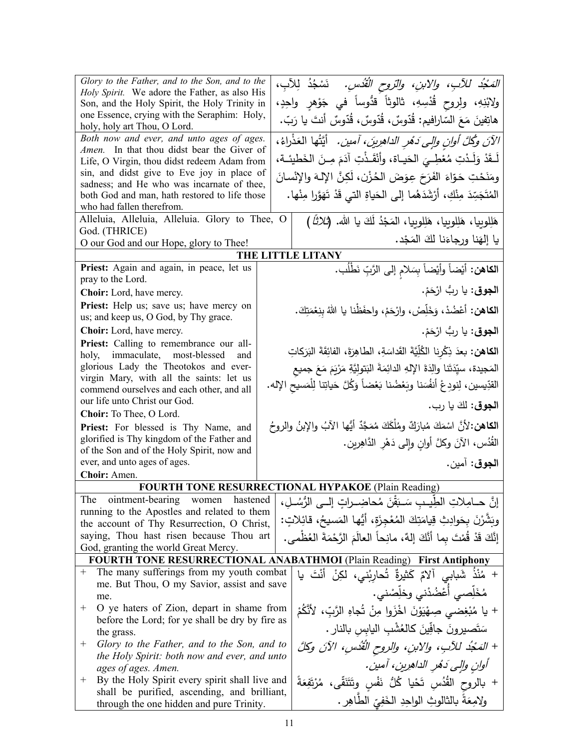| Glory to the Father, and to the Son, and to the                                          | المَعْدُ للأَبِ، والأبنِ، والتروح القُدُسِ.   نَسْجُدُ لِلأَبِ،                          |
|------------------------------------------------------------------------------------------|------------------------------------------------------------------------------------------|
| Holy Spirit. We adore the Father, as also His                                            |                                                                                          |
| Son, and the Holy Spirit, the Holy Trinity in                                            | ولابْنِهِ، ولِروح قُدْسِهِ، ثالوثاً قدُّوساً في جَوْهرِ واحِدٍ،                          |
| one Essence, crying with the Seraphim: Holy,<br>holy, holy art Thou, O Lord.             | هاتِفينَ مَعَ السّارافيم: قُدّوسٌ، قُدّوسٌ، قُدّوسٌ أنتَ يا رَبّ.                        |
| Both now and ever, and unto ages of ages.<br>Amen. In that thou didst bear the Giver of  | الآنَ وَكُلَّ أُولِن وإلى دَهْرِ الدَاهِرِينَ، أَمين. ۖ أَيَّتُها الْعَذْرَاءُ،          |
| Life, O Virgin, thou didst redeem Adam from                                              | لَـقَدْ وَلَـدْتِ مُعْطِـيَ الحَيـاة، وأَنْقَـذْتِ آدَمَ مِـنَ الخَطيئـة،                |
| sin, and didst give to Eve joy in place of                                               | ومَنَحْتِ حَوّاءَ الفَرَحَ عِوَضَ الحُزْنِ، لَكِنَّ الإِلـهَ والإِنْسانَ                 |
| sadness; and He who was incarnate of thee,                                               |                                                                                          |
| both God and man, hath restored to life those                                            | الْمُتَجَسِّدَ مِنْكِ، أَرْشَدَهُما إِلَى الْحَياةِ الَّتِي قَدْ تَهَوَّرا مِنْها.       |
| who had fallen therefrom.<br>Alleluia, Alleluia, Alleluia. Glory to Thee, O              |                                                                                          |
| God. (THRICE)                                                                            | هَلِلوبِيا، هَلِلوبِيا، هَلِلوبِيا، المَجْدُ لَكَ يا الله. (ثلاثًا )                     |
| O our God and our Hope, glory to Thee!                                                   | يا إلهَنا ورجاءَنا لكَ المَجْد.                                                          |
|                                                                                          | THE LITTLE LITANY                                                                        |
| Priest: Again and again, in peace, let us                                                | ا <b>لكاهن:</b> أَيْضاً وأَيْضاً بِسَلامِ إلى الرَّبِّ نَطْلُب.                          |
| pray to the Lord.                                                                        |                                                                                          |
| Choir: Lord, have mercy.                                                                 | ا <b>لجوق</b> : يا ربُّ ارْحَمْ.                                                         |
| Priest: Help us; save us; have mercy on<br>us; and keep us, O God, by Thy grace.         | الكاهن: أَعْضُدْ، وَخَلِّصْ، وارْحَمْ، واحفَظْنا يا اللهُ بِنِعْمَتِكَ.                  |
| Choir: Lord, have mercy.                                                                 | ا <b>لجوق</b> : يا ربُّ ارْحَمْ.                                                         |
| Priest: Calling to remembrance our all-                                                  | الكاهن: بعدَ ذِكْرِنا الكُلِّيَّةَ القَداسَةِ، الطاهِرَةَ، الفائِقَةَ البَرَكاتِ         |
| holy, immaculate, most-blessed<br>and<br>glorious Lady the Theotokos and ever-           |                                                                                          |
| virgin Mary, with all the saints: let us                                                 | المَجيدة، سيِّدَتَنا والِدَةَ الإِلهِ الدائِمَةَ البَتولِيَّةِ مَرْيَمَ مَعَ جميع        |
| commend ourselves and each other, and all                                                | القدِّيسين، لِنودِعْ أنفُسَنا وبَعْضُنا بَعْضاً وَكُلَّ حَياتِنا لِلْمَسيحِ الإله.       |
| our life unto Christ our God.                                                            | ا <b>لجوق</b> : لكَ يا رب.                                                               |
| Choir: To Thee, O Lord.                                                                  |                                                                                          |
| Priest: For blessed is Thy Name, and                                                     | ا <b>لكاهن:</b> 'لأنَّ اسْمَكَ مُبارَكٌ ومُلْكَكَ مُمَجَّدٌ أيُّها الآبُ والإبنُ والروحُ |
| glorified is Thy kingdom of the Father and<br>of the Son and of the Holy Spirit, now and | القُدُس، الآنَ وكلَّ أوانِ وإلى دَهْرِ الدَّاهِرين.                                      |
| ever, and unto ages of ages.                                                             | ا <b>لجوق</b> : آمين.                                                                    |
| Choir: Amen.                                                                             |                                                                                          |
|                                                                                          | <b>FOURTH TONE RESURRECTIONAL HYPAKOE (Plain Reading)</b>                                |
| ointment-bearing women<br>The.<br>hastened                                               | إنَّ حــامِلاتِ الطِّيــبِ سَـبَقْنَ مُحاضِــراتِ إلــي الرُّسُــلِ،                     |
| running to the Apostles and related to them                                              |                                                                                          |
| the account of Thy Resurrection, O Christ,                                               | وِنَشَّرْنَ بِحَوادِثِ قِيامَتِكَ الْمُعْجِزَةِ، أَيُّها الْمَسيحُ، قائِلاتٍ:            |
| saying, Thou hast risen because Thou art                                                 | إِنَّكَ قَدْ قُمْتَ بِما أَنَّكَ إِلَٰهٌ، مانِحاً العالَمَ الرَّحْمَةَ العُظْمي.         |
| God, granting the world Great Mercy.                                                     | <b>FOURTH TONE RESURRECTIONAL ANABATHMOI (Plain Reading) First Antiphony</b>             |
| The many sufferings from my youth combat<br>$^{+}$                                       | + مُنْذُ شَبابى آلامٌ كَثيرةٌ تُحارِبُني، لكِنْ أَنْتَ يا                                |
| me. But Thou, O my Savior, assist and save                                               |                                                                                          |
| me.                                                                                      | مُخَلِّصي أَعْضُدْني وخلِّصْني.                                                          |
| $^+$<br>O ye haters of Zion, depart in shame from                                        | + يا مُبْغِضي صِهْيَوْنَ اخْزَوا مِنْ تُجاهِ الرَّبِّ، لأَتَّكُمْ                        |
| before the Lord; for ye shall be dry by fire as                                          | سَتَصيرونَ جافِّينَ كالعُشْبِ اليابسِ بالنارِ .                                          |
| the grass.<br>Glory to the Father, and to the Son, and to<br>$^+$                        |                                                                                          |
| the Holy Spirit: both now and ever, and unto                                             | + المَحْدُ للآبِ، والابنِ، والروح الْقُدُسِ، الآنَ وكلَّ                                 |
| ages of ages. Amen.                                                                      | أوانِ والِي دَهُرِ الداهرِينِ، أمينِ.                                                    |
| By the Holy Spirit every spirit shall live and<br>$^+$                                   | + بالروح القُدُس تَحْيا كُلُّ نَفْسٍ وتَتَنَقَّى، مُرْتَفِعَةً                           |
| shall be purified, ascending, and brilliant,                                             | ولِامِعَةً بِالثَالُوثِ الْوَاحِدِ الْخَفِيِّ الطَّاهِرِ .                               |
| through the one hidden and pure Trinity.                                                 |                                                                                          |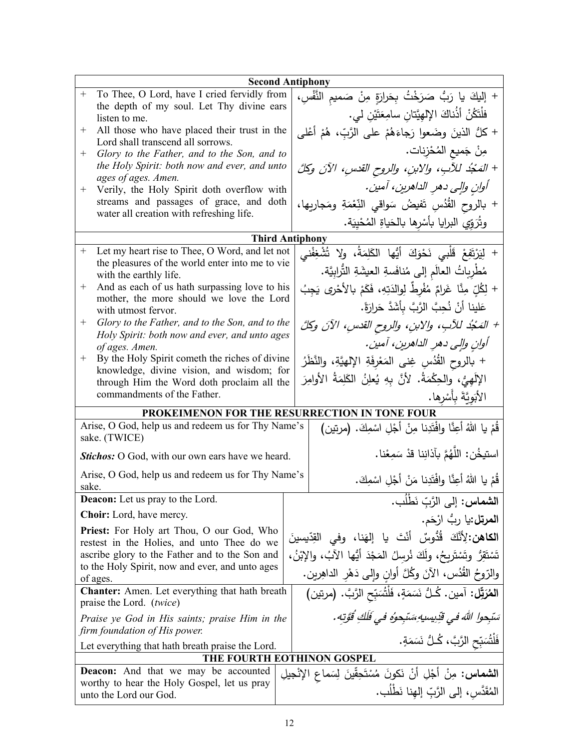| <b>Second Antiphony</b>                                                           |                                                                                                   |                                          |                                                                    |                                                                                                                          |  |
|-----------------------------------------------------------------------------------|---------------------------------------------------------------------------------------------------|------------------------------------------|--------------------------------------------------------------------|--------------------------------------------------------------------------------------------------------------------------|--|
| $^{+}$                                                                            | To Thee, O Lord, have I cried fervidly from                                                       |                                          |                                                                    | + إِلَيْكَ يا رَبُّ صَرَخْتُ بِحَرارَةٍ مِنْ صَميمِ النَّفْسِ،                                                           |  |
|                                                                                   | the depth of my soul. Let Thy divine ears<br>listen to me.                                        |                                          | فلْتَكُنْ أَذُناكَ الإِلْهِيَّتانِ سامِعَتَيْنِ لي.                |                                                                                                                          |  |
| $^+$                                                                              | All those who have placed their trust in the                                                      |                                          |                                                                    | + كلُّ الذينَ وضَعوا رَجاءَهُمْ على الرَّبِّ، هُمْ أَعْلـى                                                               |  |
| $^{+}$                                                                            | Lord shall transcend all sorrows.<br>Glory to the Father, and to the Son, and to                  |                                          | مِنْ جَميعِ المُحْزِناتِ.                                          |                                                                                                                          |  |
|                                                                                   | the Holy Spirit: both now and ever, and unto                                                      |                                          |                                                                    | + المَحْدُ للآبِ، والابنِ، والروح القدسِ، الآنَ وكلَّ                                                                    |  |
|                                                                                   | ages of ages. Amen.                                                                               |                                          |                                                                    |                                                                                                                          |  |
| $^{+}$                                                                            | Verily, the Holy Spirit doth overflow with<br>streams and passages of grace, and doth             |                                          | أوانِ والِي دهرِ الداهرينِ، آمينِ.                                 |                                                                                                                          |  |
|                                                                                   | water all creation with refreshing life.                                                          |                                          | + بالروح القُدُسِ تَفيضُ سَواقى النِّعْمَةِ ومَجاريها،             |                                                                                                                          |  |
|                                                                                   |                                                                                                   |                                          |                                                                    | وتُرَوِّي البرايا بأسْرها بالحَياةِ المُحْيِيَة.                                                                         |  |
|                                                                                   | <b>Third Antiphony</b>                                                                            |                                          |                                                                    |                                                                                                                          |  |
| $^{+}$                                                                            | Let my heart rise to Thee, O Word, and let not                                                    |                                          | + لِيَرْتَفِعْ قَلْبِي نَحْوَكَ أَيُّها الكَلِمَةُ، ولا تُشْغِفْنى |                                                                                                                          |  |
|                                                                                   | the pleasures of the world enter into me to vie<br>with the earthly life.                         |                                          |                                                                    | مُطْرِبِاتُ العالَمِ إلى مُنافَسةِ العيشَةِ التُّرابِيَّة.                                                               |  |
| $^{+}$                                                                            | And as each of us hath surpassing love to his                                                     |                                          |                                                                    | + لِكُلِّ مِنَّا غَرامٌ مُفْرِطٌ لِوالدَتِهِ، فَكَمْ بِالأَحْرِي يَجِبُ                                                  |  |
|                                                                                   | mother, the more should we love the Lord<br>with utmost fervor.                                   |                                          |                                                                    | عَلينا أَنْ نُحِبَّ الرَّبَّ بأَشَدَّ حَرارَةً.                                                                          |  |
| $^{+}$                                                                            | Glory to the Father, and to the Son, and to the                                                   |                                          |                                                                    | + المَجْدُ للآبِ، والابنِ، والروح القدسِ، الآنَ وكلَّ                                                                    |  |
|                                                                                   | Holy Spirit: both now and ever, and unto ages<br>of ages. Amen.                                   |                                          |                                                                    | أوانِ والِي دهرِ الداهرينِ، آمينِ.                                                                                       |  |
| $^{+}$                                                                            | By the Holy Spirit cometh the riches of divine                                                    |                                          |                                                                    | + بالروح القُدُسِ غِنى المَعْرِفَةِ الإلهيَّةِ، والنَّظَرُ                                                               |  |
|                                                                                   | knowledge, divine vision, and wisdom; for                                                         |                                          |                                                                    |                                                                                                                          |  |
|                                                                                   | through Him the Word doth proclaim all the<br>commandments of the Father.                         |                                          | الإِلَهِيُّ، والحِكْمَةُ. لأنَّ بِهِ يُعلِنُ الكَلِمَةُ الأوامِرَ  |                                                                                                                          |  |
|                                                                                   |                                                                                                   |                                          | الأَبَوِيَّةَ بِأَسْرِها.                                          |                                                                                                                          |  |
| PROKEIMENON FOR THE RESURRECTION IN TONE FOUR                                     |                                                                                                   |                                          |                                                                    |                                                                                                                          |  |
| Arise, O God, help us and redeem us for Thy Name's<br>sake. (TWICE)               |                                                                                                   |                                          |                                                                    | قُمْ يا اللهُ أُعِنَّا وافْتَدِنا مِنْ أَجْلِ اسْمِكَ. (مرتين)                                                           |  |
| Stichos: O God, with our own ears have we heard.                                  |                                                                                                   |                                          | استيخُن: اللَّهُمَّ بِآذانِنا قدْ سَمِعْنا.                        |                                                                                                                          |  |
| Arise, O God, help us and redeem us for Thy Name's<br>sake.                       |                                                                                                   |                                          | قُمْ يا اللهُ أُعِنَّا وافْتَدِنا مَنْ أَجْلِ اسْمِكَ.             |                                                                                                                          |  |
|                                                                                   | Deacon: Let us pray to the Lord.                                                                  |                                          |                                                                    | ا <b>لشماس:</b> إلى الرَّبِّ نَطلَب.                                                                                     |  |
|                                                                                   | <b>Choir:</b> Lord, have mercy.                                                                   |                                          |                                                                    | ا <b>لمرتل:</b> يا ربُّ ارْحَم.                                                                                          |  |
| <b>Priest:</b> For Holy art Thou, O our God, Who                                  |                                                                                                   |                                          |                                                                    |                                                                                                                          |  |
|                                                                                   | restest in the Holies, and unto Thee do we                                                        |                                          |                                                                    | ا <b>لكاهن:</b> لِأنَّكَ قُدُّوسٌ أَنْتَ يا إِلهَنا، وفي القِدِّيسينَ                                                    |  |
|                                                                                   | ascribe glory to the Father and to the Son and<br>to the Holy Spirit, now and ever, and unto ages |                                          |                                                                    | تَسْتَقِرُ وتَسْتَرِيحُ، ولَكَ نُرسِلُ المَجْدَ أَيُّها الآبُ، واﻹبْنُ،                                                  |  |
| of ages.                                                                          |                                                                                                   |                                          | والرّوحُ القُدُس، الآنَ وكُلَّ أوانٍ وإلى دَهْرِ الداهِرِينِ.      |                                                                                                                          |  |
| <b>Chanter:</b> Amen. Let everything that hath breath<br>praise the Lord. (twice) |                                                                                                   |                                          | المُرَبِّل: آمين. كُلُّ نَسَمَةٍ، فَلْتُسَبِّحِ الرَّبَّ. (مرتين)  |                                                                                                                          |  |
| Praise ye God in His saints; praise Him in the<br>firm foundation of His power.   |                                                                                                   |                                          |                                                                    | سَبْحوا اللهَ في قَدِيسيهِ سَتَجوهُ في فَلَكِ قُوَّتِه.                                                                  |  |
| Let everything that hath breath praise the Lord.                                  |                                                                                                   | فَلْتُسَبِّحِ الرَّبَّ، كُـلُّ نَسَمَةٍ. |                                                                    |                                                                                                                          |  |
| THE FOURTH EOTHINON GOSPEL                                                        |                                                                                                   |                                          |                                                                    |                                                                                                                          |  |
|                                                                                   | <b>Deacon:</b> And that we may be accounted                                                       |                                          |                                                                    |                                                                                                                          |  |
|                                                                                   | worthy to hear the Holy Gospel, let us pray<br>unto the Lord our God.                             |                                          |                                                                    | ا <b>لشماس:</b> مِنْ أَجْلِ أَنْ نَكونَ مُسْتَحِقِّينَ لِسَماعِ الإِنْجِيلِ<br>المُقَدَّسِ، إلى الرَّبِّ إلهِنا نَطْلُب. |  |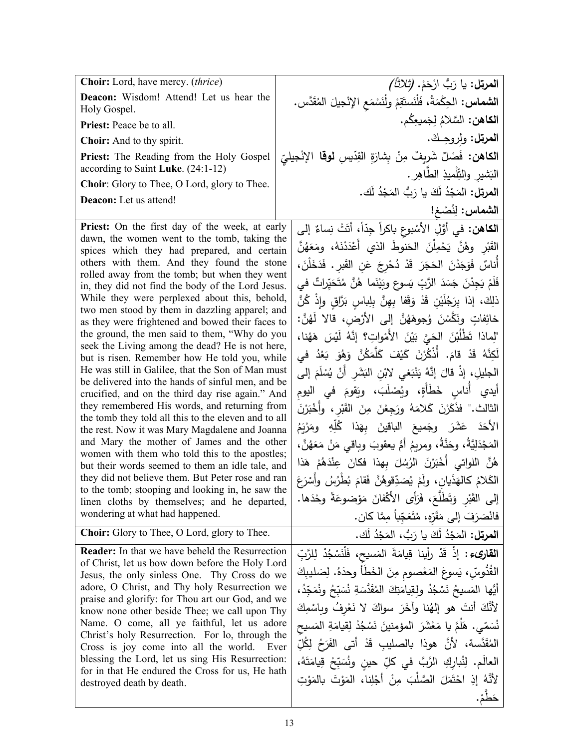| Choir: Lord, have mercy. (thrice)                                                                                                                                                                                                                                                                                                                                                                                                                                                                                                                                                                                                                                                                                                                                                                                                                                                                                                                                                                                                                                                                                                                                                                                                                                                      | ا <b>لمرتل:</b> يا رَبُّ ارْحَمْ. <i>(تْلاثَاً)</i>                                                                                                                                                                                                                                                                                                                                                                                                                                                                                                                                                                                                                                                                                                                                                                                                                                                                                                                                                                                                                                                                                                                                                            |
|----------------------------------------------------------------------------------------------------------------------------------------------------------------------------------------------------------------------------------------------------------------------------------------------------------------------------------------------------------------------------------------------------------------------------------------------------------------------------------------------------------------------------------------------------------------------------------------------------------------------------------------------------------------------------------------------------------------------------------------------------------------------------------------------------------------------------------------------------------------------------------------------------------------------------------------------------------------------------------------------------------------------------------------------------------------------------------------------------------------------------------------------------------------------------------------------------------------------------------------------------------------------------------------|----------------------------------------------------------------------------------------------------------------------------------------------------------------------------------------------------------------------------------------------------------------------------------------------------------------------------------------------------------------------------------------------------------------------------------------------------------------------------------------------------------------------------------------------------------------------------------------------------------------------------------------------------------------------------------------------------------------------------------------------------------------------------------------------------------------------------------------------------------------------------------------------------------------------------------------------------------------------------------------------------------------------------------------------------------------------------------------------------------------------------------------------------------------------------------------------------------------|
| Deacon: Wisdom! Attend! Let us hear the<br>Holy Gospel.                                                                                                                                                                                                                                                                                                                                                                                                                                                                                                                                                                                                                                                                                                                                                                                                                                                                                                                                                                                                                                                                                                                                                                                                                                | ال <b>شماس:</b> الحِكْمَةُ، فَلْنَستَقِمْ ولْنَسْمَعِ الإِنْجيلَ المُقَدَّس.                                                                                                                                                                                                                                                                                                                                                                                                                                                                                                                                                                                                                                                                                                                                                                                                                                                                                                                                                                                                                                                                                                                                   |
| Priest: Peace be to all.                                                                                                                                                                                                                                                                                                                                                                                                                                                                                                                                                                                                                                                                                                                                                                                                                                                                                                                                                                                                                                                                                                                                                                                                                                                               | ا <b>لكاهن:</b> السَّلامُ لِجَميعِكُم.                                                                                                                                                                                                                                                                                                                                                                                                                                                                                                                                                                                                                                                                                                                                                                                                                                                                                                                                                                                                                                                                                                                                                                         |
| Choir: And to thy spirit.                                                                                                                                                                                                                                                                                                                                                                                                                                                                                                                                                                                                                                                                                                                                                                                                                                                                                                                                                                                                                                                                                                                                                                                                                                                              | المرتل: ولروجك.                                                                                                                                                                                                                                                                                                                                                                                                                                                                                                                                                                                                                                                                                                                                                                                                                                                                                                                                                                                                                                                                                                                                                                                                |
| <b>Priest:</b> The Reading from the Holy Gospel<br>according to Saint Luke. (24:1-12)                                                                                                                                                                                                                                                                                                                                                                                                                                                                                                                                                                                                                                                                                                                                                                                                                                                                                                                                                                                                                                                                                                                                                                                                  | ا <b>لكاهن:</b> فَصْلٌ شَرِيفٌ مِنْ بِشَارَةِ القِدّيسِ <b>لوقا</b> الإِنْجِيليّ<br>الْبَشْيْرِ وْالتِّلْمِيْذِ الطَّاهِرِ .                                                                                                                                                                                                                                                                                                                                                                                                                                                                                                                                                                                                                                                                                                                                                                                                                                                                                                                                                                                                                                                                                   |
| Choir: Glory to Thee, O Lord, glory to Thee.                                                                                                                                                                                                                                                                                                                                                                                                                                                                                                                                                                                                                                                                                                                                                                                                                                                                                                                                                                                                                                                                                                                                                                                                                                           |                                                                                                                                                                                                                                                                                                                                                                                                                                                                                                                                                                                                                                                                                                                                                                                                                                                                                                                                                                                                                                                                                                                                                                                                                |
| <b>Deacon:</b> Let us attend!                                                                                                                                                                                                                                                                                                                                                                                                                                                                                                                                                                                                                                                                                                                                                                                                                                                                                                                                                                                                                                                                                                                                                                                                                                                          | ا <b>لمرتل:</b> المَجْدُ لَكَ يا رَبُّ المَجْدُ لَك.<br>الشماس: لِنُصْغ!                                                                                                                                                                                                                                                                                                                                                                                                                                                                                                                                                                                                                                                                                                                                                                                                                                                                                                                                                                                                                                                                                                                                       |
| Priest: On the first day of the week, at early<br>dawn, the women went to the tomb, taking the<br>spices which they had prepared, and certain<br>others with them. And they found the stone<br>rolled away from the tomb; but when they went<br>in, they did not find the body of the Lord Jesus.<br>While they were perplexed about this, behold,<br>two men stood by them in dazzling apparel; and<br>as they were frightened and bowed their faces to<br>the ground, the men said to them, "Why do you<br>seek the Living among the dead? He is not here,<br>but is risen. Remember how He told you, while<br>He was still in Galilee, that the Son of Man must<br>be delivered into the hands of sinful men, and be<br>crucified, and on the third day rise again." And<br>they remembered His words, and returning from<br>the tomb they told all this to the eleven and to all<br>the rest. Now it was Mary Magdalene and Joanna<br>and Mary the mother of James and the other<br>women with them who told this to the apostles;<br>but their words seemed to them an idle tale, and<br>they did not believe them. But Peter rose and ran<br>to the tomb; stooping and looking in, he saw the<br>linen cloths by themselves; and he departed,<br>wondering at what had happened. | الكاهن: في أَوَّلِ الأَسْبوعِ باكراً جِدَّاً، أَتَتْ نِساءٌ إلى<br>القَبْرِ وهُنَّ يَحْمِلْنَ الحَنوطَ الذي أَعْدَدْنَهُ، ومَعَهُنَّ<br>أَناسٌ فَوَجَدْنَ الْحَجَرَ قَدْ دُحْرِجَ عَنِ الْقَبِرِ . فَدَخَلْنَ،<br>فَلَمْ يَجِدْنَ جَسَدَ الرَّبِّ يَسوعٍ وبَيْنَما هُنَّ مُتَحَيِّراتٌ في<br>ذلِكَ، إذا بِرَجُلَيْنِ قَدْ وَقَفا بِهِنَّ بِلِباسِ بَرَّاقٍ وإِذْ كُنَّ<br>خائِفاتٍ ونَكَّسْنَ وُجوهَهُنَّ إِلى الأَرْضِ، قالا لَهُنَّ:<br>"لِماذا تَطْلُبْنَ الحَيَّ بَيْنَ الأَمْواتِ؟ إنَّهُ لَيْسَ هَهُنا،<br>لَكِنَّهُ قَدْ قامَ. أَذْكُرْنَ كَيْفَ كَلَّمَكُنَّ وَهُوَ بَعْدُ في<br>الْجِلِيلِ، إِذْ قَالَ إِنَّهُ يَنْبَغِي لِابْنِ النِّشَرِ أَنْ يُسْلَمَ إِلَى<br>أيدي أُناسِ خَطَأَةٍ، ويُصْلَبَ، ويَقومَ في اليوم<br>الثالث." فذَكَرْنَ كَلامَهُ ورَجِعْنَ مِنَ القَبْرِ، وأخْبَرْنَ<br>الأَحَدَ عَشَرَ وجَميعَ الباقينَ بِهَذا كُلِّهِ ومَرْيَمُ<br>المَجْدَلِيَّةُ، وحَذَّةُ، ومربِمُ أمُّ يعقوبَ وباقي مَنْ مَعَهُنَّ،<br>هُنَّ اللواتي أُخْبَرْنَ الرُسُلَ بِهذا فكانَ عِنْدَهُمْ هَذا<br>الْكَلامُ كَالْهَذَيانِ، ولَمْ يُصَدِّقُوهُنَّ فَقَامَ بُطّْرُسُ وأَسْرَعَ<br>إِلَى القَبْرِ وَتَطَلَّعَ، فَرَأَى الأَكْفانَ مَوْضوعَةً وحْدَها<br>فانْصَرَفَ إلى مَقَرَّهِ، مُتَعَجِّباً مِمَّا كان. |
| <b>Choir:</b> Glory to Thee, O Lord, glory to Thee.                                                                                                                                                                                                                                                                                                                                                                                                                                                                                                                                                                                                                                                                                                                                                                                                                                                                                                                                                                                                                                                                                                                                                                                                                                    | ا <b>لمرتل:</b> المَجْدُ لَكَ يا رَبُّ، المَجْدُ لَك.                                                                                                                                                                                                                                                                                                                                                                                                                                                                                                                                                                                                                                                                                                                                                                                                                                                                                                                                                                                                                                                                                                                                                          |
| <b>Reader:</b> In that we have beheld the Resurrection<br>of Christ, let us bow down before the Holy Lord<br>Jesus, the only sinless One. Thy Cross do we<br>adore, O Christ, and Thy holy Resurrection we<br>praise and glorify: for Thou art our God, and we<br>know none other beside Thee; we call upon Thy<br>Name. O come, all ye faithful, let us adore<br>Christ's holy Resurrection. For lo, through the<br>Cross is joy come into all the world. Ever<br>blessing the Lord, let us sing His Resurrection:<br>for in that He endured the Cross for us, He hath<br>destroyed death by death.                                                                                                                                                                                                                                                                                                                                                                                                                                                                                                                                                                                                                                                                                   | ا <b>لقارىء :</b> إذْ قَدْ رأينا قِيامَةَ المَسيح، فَلْنَسْجُدْ لِلرَّبِّ<br>القُدُوسِّ، يَسوعَ المَعْصومِ مِنَ الْخَطَأُ وحدَهُ. لِصَليبِكَ<br>أَيُّها المَسيحُ نَسْجُدُ ولقِيامَتِكَ المُقَدَّسَةِ نُسَبِّحُ ونُمَجِّدُ،<br>لأَنَّكَ أَنتَ هو إلهُنا وآخَرَ سواكَ لا نَعْرِفُ وبِاسْمِكَ<br>نُسَمّي. هَلُمَّ يا مَعْشَرَ المؤمنينَ نَسْجُدْ لِقِيامَةِ المَسيح<br>المُقَدَّسة، لأنَّ هوذا بالصليبِ قَدْ أَتى الفَرَحُ لِكُلِّ<br>العالَم. لِثُبارِكِ الرَّبَّ في كلِّ حينٍ ونُسَبِّحْ قِيامَتَهُ،<br>لأَنَّهُ إِذِ احْتَمَلَ الصَّلْبَ مِنْ أَجْلِنا، المَوْتَ بِالْمَوْتِ<br>حَطُمْ.                                                                                                                                                                                                                                                                                                                                                                                                                                                                                                                                                                                                                        |
|                                                                                                                                                                                                                                                                                                                                                                                                                                                                                                                                                                                                                                                                                                                                                                                                                                                                                                                                                                                                                                                                                                                                                                                                                                                                                        |                                                                                                                                                                                                                                                                                                                                                                                                                                                                                                                                                                                                                                                                                                                                                                                                                                                                                                                                                                                                                                                                                                                                                                                                                |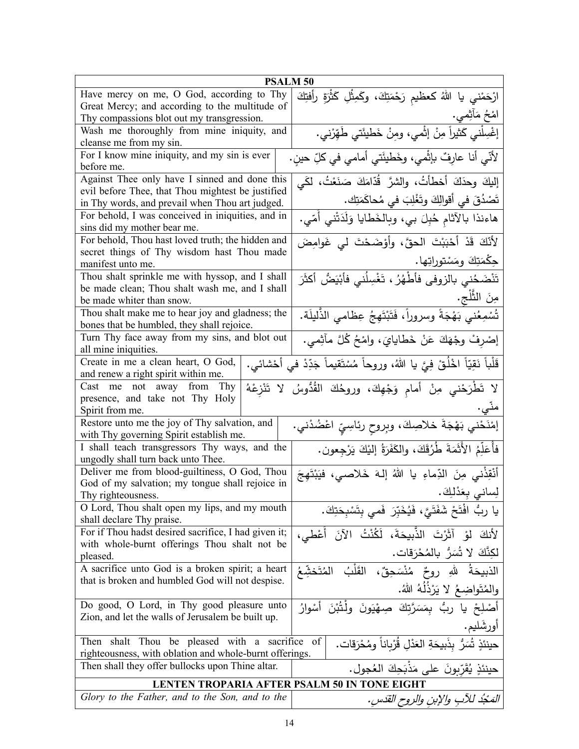| <b>PSALM 50</b>                                                                                            |                                                                                  |  |
|------------------------------------------------------------------------------------------------------------|----------------------------------------------------------------------------------|--|
| Have mercy on me, O God, according to Thy                                                                  | ارْحَمْني يا اللهُ كعظيمِ رَحْمَتِكَ، وكَمِثْلِ كَثْرَةِ رأفتِكَ                 |  |
| Great Mercy; and according to the multitude of                                                             |                                                                                  |  |
| Thy compassions blot out my transgression.                                                                 | امْحُ مَأْثِمي.                                                                  |  |
| Wash me thoroughly from mine iniquity, and<br>cleanse me from my sin.                                      | إغْسِلْني كَثيراً مِنْ إثْمي، ومِنْ خَطيئَتي طَهِّرْني.                          |  |
| For I know mine iniquity, and my sin is ever<br>before me.                                                 | لأنّي أنا عارِفٌ بإثْمي، وخَطيئَتي أمامي في كلِّ حينٍ.                           |  |
| Against Thee only have I sinned and done this                                                              | إليكَ وحدَكَ أخطأتُ، والشرَّ قُدَّامَكَ صَنَعْتُ، لَكَي                          |  |
| evil before Thee, that Thou mightest be justified                                                          |                                                                                  |  |
| in Thy words, and prevail when Thou art judged.                                                            | تَصْدُقَ في أقوالِكَ وتَغْلِبَ في مُحاكَمَتِك.                                   |  |
| For behold, I was conceived in iniquities, and in                                                          | هاءنذا بالآثام حُبِلَ بي، وبالخَطايا وَلَدَتْني أُمّي.                           |  |
| sins did my mother bear me.                                                                                |                                                                                  |  |
| For behold, Thou hast loved truth; the hidden and                                                          | لِأَنَّكَ قَدْ أَحْبَبْتَ الْحقَّ، وأَوْضَحْتَ لَى غَوامِضَ                      |  |
| secret things of Thy wisdom hast Thou made                                                                 |                                                                                  |  |
| manifest unto me.                                                                                          | جِكْمَتِكَ ومَسْتوراتِها.                                                        |  |
| Thou shalt sprinkle me with hyssop, and I shall                                                            | تَنْضَحُني بالزوفي فأطْهُرُ ، تَغْسِلُني فأَبْيَضُ أكثَرَ                        |  |
| be made clean; Thou shalt wash me, and I shall                                                             |                                                                                  |  |
| be made whiter than snow.                                                                                  | مِنَ الثَّلْجِ.                                                                  |  |
| Thou shalt make me to hear joy and gladness; the                                                           | تُسْمِعُني بَهْجَةً وسروراً، فَتَبْتَهِجُ عِظامي الذَّليلَة.                     |  |
| bones that be humbled, they shall rejoice.                                                                 |                                                                                  |  |
| Turn Thy face away from my sins, and blot out                                                              | إِصْرِفْ وِجْهَكَ عَنْ خَطَايَايَ، وَاِمْحُ كُلَّ مَأْثِمي.                      |  |
| all mine iniquities.                                                                                       |                                                                                  |  |
| Create in me a clean heart, O God,                                                                         | قَلْباً نَقِيّاً اخْلُقْ فِيَّ يا اللهُ، وروحاً مُسْتَقيماً جَدِّدْ في أَحْشائي. |  |
| and renew a right spirit within me.                                                                        |                                                                                  |  |
| Cast me not away from<br>Thy                                                                               | لا تَطْرَحْني مِنْ أمامِ وَجْهِكَ، وروحُكَ القُدُوسُ لا تَنْزِعْهُ               |  |
| presence, and take not Thy Holy                                                                            |                                                                                  |  |
| Spirit from me.                                                                                            |                                                                                  |  |
| Restore unto me the joy of Thy salvation, and<br>with Thy governing Spirit establish me.                   | إمْنَحْني بَهْجَةَ خلاصِكَ، وبِروحِ رئاسِيِّ اعْضُدْني.                          |  |
| I shall teach transgressors Thy ways, and the<br>ungodly shall turn back unto Thee.                        | فَأُعَلِّمُ الأَثَمَةَ طُرُقَكَ، والكَفَرَةُ إليْكَ يَرْجِعون.                   |  |
| Deliver me from blood-guiltiness, O God, Thou                                                              | أَنْقِذْني مِنَ الدِّماءِ يا اللهُ إلهَ خَلاصي، فيَبْتَهِجَ                      |  |
| God of my salvation; my tongue shall rejoice in                                                            |                                                                                  |  |
| Thy righteousness.                                                                                         | لِساني بِعَدْلِكَ.                                                               |  |
| O Lord, Thou shalt open my lips, and my mouth<br>shall declare Thy praise.                                 | يا ربُّ افْتَحْ شَفَتَيَّ، فَيُخَبِّرَ  فَمى بِتَسْبِحَتِكَ.                     |  |
| For if Thou hadst desired sacrifice, I had given it;                                                       |                                                                                  |  |
| with whole-burnt offerings Thou shalt not be                                                               | لأنكَ لمْ آثَرْتَ الذَّبيحَةَ، لَكُنْتُ الآنَ أُعْطى،                            |  |
| pleased.                                                                                                   | لكذَّكَ لا شُمَرٌ بالمُحْرَقات.                                                  |  |
| A sacrifice unto God is a broken spirit; a heart                                                           | الذبيحَةُ   للهِ   روحٌ    مُنْسَحِقٌ،    القَلْبُ<br>المُتَخشّعُ                |  |
| that is broken and humbled God will not despise.                                                           |                                                                                  |  |
| والمُتَواضِعُ لا يَرْذُلُهُ اللهُ.                                                                         |                                                                                  |  |
| Do good, O Lord, in Thy good pleasure unto                                                                 | أَصْلِحْ يا ربُّ بِمَسَرَّتِكَ صِهْيَونَ ولْذُبْنَ أَسْوارُ                      |  |
| Zion, and let the walls of Jerusalem be built up.                                                          |                                                                                  |  |
|                                                                                                            | أورشَليم.                                                                        |  |
| حينئذٍ تُسَرُّ بذَبيحَةِ العَدْلِ قُرْبِاناً ومُحْرَقات.<br>Then shalt Thou be pleased with a sacrifice of |                                                                                  |  |
| righteousness, with oblation and whole-burnt offerings.                                                    |                                                                                  |  |
| Then shall they offer bullocks upon Thine altar.                                                           | حينئذٍ يُقَرِّبونَ على مَذْبَحِكَ العُجولِ.                                      |  |
| LENTEN TROPARIA AFTER PSALM 50 IN TONE EIGHT                                                               |                                                                                  |  |
| Glory to the Father, and to the Son, and to the                                                            | المَحْدُ للآبِ والإبنِ والروحِ القَدَسِ.                                         |  |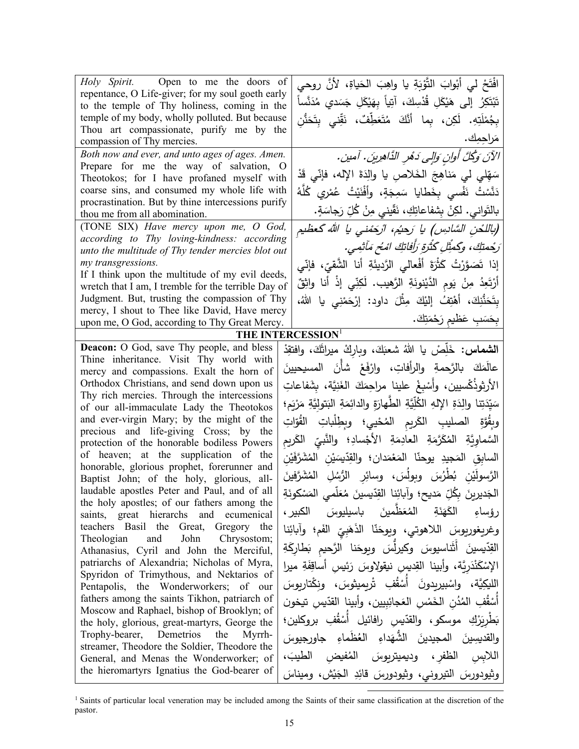| Holy Spirit. Open to me the doors of                                                              |          | افْتَحْ لي أَبْوابَ النَّوْبَةِ يا واهِبَ الْحَياةِ، لأَنَّ روحي                         |
|---------------------------------------------------------------------------------------------------|----------|------------------------------------------------------------------------------------------|
| repentance, O Life-giver; for my soul goeth early<br>to the temple of Thy holiness, coming in the |          | تَبْتَكِرُ ۖ إِلَى ۚ هَيْكَلِ قُدْسِكَ، آتِياً بِهَيْكَلِ جَسَدي مُدَنَّساً              |
| temple of my body, wholly polluted. But because                                                   |          | بِجُمْلَتِهِ. لَكِن، بِما أَنَّكَ مُتَعَطِّفٌ، نَقِّني بِتَحَذُّنِ                       |
| Thou art compassionate, purify me by the                                                          |          |                                                                                          |
| compassion of Thy mercies.                                                                        |          | مَراجِمِك.                                                                               |
| Both now and ever, and unto ages of ages. Amen.<br>Prepare for me the way of salvation, O         |          | الآنَ وَكُلَّ أُوانٍ وَإِلَى دَهْرِ الذَّاهِرِينَ. آمين.                                 |
| Theotokos; for I have profaned myself with                                                        |          | سَهِّلي لي مَناهِجَ الخَلاصِ يا والِدَةَ الإِله، فإنِّي قَدْ                             |
| coarse sins, and consumed my whole life with                                                      |          | دَنَّسْتُ نَفْسي بِخَطايا سَمِجَةٍ، وأَفْنَيْتُ عُمْرِي كُلُّهُ                          |
| procrastination. But by thine intercessions purify<br>thou me from all abomination.               |          | بالنَّواني. لكِنْ بِشفاعاتِكِ، نَقّيني مِنْ كُلِّ رَجاسَةٍ.                              |
| (TONE SIX) Have mercy upon me, O God,                                                             |          | (باللحن السَّادِس) يا رَحيُم، ارْحَمْني يا الله گعظيم                                    |
| according to Thy loving-kindness: according                                                       |          |                                                                                          |
| unto the multitude of Thy tender mercies blot out                                                 |          | رَجْمتِكَ، وكَمثِلِ كَثَرَةِ رَأَفَاتِكَ امْحُ مَأْثِمِي.                                |
| my transgressions.<br>If I think upon the multitude of my evil deeds,                             |          | إذا تَصَوَّرْتُ كَثْرَةَ أَفْعالي الرَّديئَةِ أنا الشَّقيّ، فإنّي                        |
| wretch that I am, I tremble for the terrible Day of                                               |          | أَرْتَعِدُ مِنْ يَومِ الدَّيْنونَةِ الرَّهيبِ. لَكِنِّي إِذْ أَنا واثِقٌ                 |
| Judgment. But, trusting the compassion of Thy                                                     |          | بِتَحَنُّنِكَ، أَهْتِفُ إِلَيْكَ مِثْلَ داود: إِرْحَمْنِي يا اللّٰهُ،                    |
| mercy, I shout to Thee like David, Have mercy                                                     |          |                                                                                          |
| upon me, O God, according to Thy Great Mercy.                                                     |          | بِحَسَبِ عَظْيمِ رَحْمَتِكَ.                                                             |
| THE INTERCESSION <sup>1</sup>                                                                     |          |                                                                                          |
| <b>Deacon:</b> O God, save Thy people, and bless<br>Thine inheritance. Visit Thy world with       |          | ا <b>لشماس:</b> خَلِّصْ يا الله شعبَكَ، وباركْ ميراثَكَ، وافتقِدْ                        |
| mercy and compassions. Exalt the horn of                                                          |          | عالَمَكَ بالرَّحمةِ والرأفاتِ، وارْفَعْ شأنَ المسيحيينَ                                  |
| Orthodox Christians, and send down upon us                                                        |          | الأرثوذُكْسيين، وأَسْبِغْ علينا مراحِمَكَ الغَنِيَّة، بِشَفاعاتِ                         |
| Thy rich mercies. Through the intercessions                                                       |          | سَيِّدَتِنا والِدَةِ الإِلهِ الكُلِّيَّةِ الطَّهارَةِ والدائِمَةِ البَتوليَّةِ مَرْيَمٍ؛ |
| of our all-immaculate Lady the Theotokos<br>and ever-virgin Mary; by the might of the             |          |                                                                                          |
| precious and life-giving Cross; by the                                                            |          | وبِقُوَّةِ الصليبِ الكَريمِ المُحْييِ؛ وبطِلْباتِ القُوّاتِ                              |
| protection of the honorable bodiless Powers                                                       |          | السَّماوِيَّةِ   المُكَرَّمَةِ   العادِمَةِ   الأجْسادِ؛   والنَّبيِّ   الكَريم          |
| of heaven; at the supplication of the                                                             |          | السابِقِ المَجيدِ يوحنّا المَعْمَدانِ؛ والقِدّيسَيْنِ المُشَرَّفَيْنِ                    |
| honorable, glorious prophet, forerunner and<br>Baptist John; of the holy, glorious, all-          |          | الرَّسولَيْن بُطْرُسَ وبِولَسَ، وسائِر الرُّسُلِ المُشَرَّفينَ                           |
| laudable apostles Peter and Paul, and of all                                                      |          | الْجَديرينَ بِكُلِّ مَديح؛ وآبائِنا القِدّيسينَ مُعَلِّمي المَسْكونَةِ                   |
| the holy apostles; of our fathers among the<br>saints, great hierarchs and ecumenical             | الكبير ، | الْكَهَنَةِ الْمُعَظَّمينَ بِاسِيلِيوسَ<br>رؤساء                                         |
| teachers Basil the Great, Gregory the                                                             |          | وغريغوريوسَ اللاهوتي، ويوحَنّا الذَهَبِيّ الفَم؛ وآبائِنا                                |
| and John<br>Theologian<br>Chrysostom;                                                             |          | القِدّيسينَ أَثَنَاسيوسَ وكيرلِّسَ ويوحَنا الرَّحيم بَطاركَةِ                            |
| Athanasius, Cyril and John the Merciful,<br>patriarchs of Alexandria; Nicholas of Myra,           |          | الإِسْكَنْدَرِيَّة، وأبينا القِديس نيقولِاوسَ رَئِيس أَساقِفَةِ ميرا                     |
| Spyridon of Trimythous, and Nektarios of                                                          |          |                                                                                          |
| Pentapolis, the Wonderworkers; of our                                                             |          | الليكِيَّة، واسْبيربِدونَ أَسْقُفِ تْرِيمِيثوسَ، ونكْتاربِوسَ                            |
| fathers among the saints Tikhon, patriarch of<br>Moscow and Raphael, bishop of Brooklyn; of       |          | أَسْقُفِ المُدُنِ الخَمْسِ العَجائِبِيينِ، وأَبينا القدّيسِ تيخون                        |
| the holy, glorious, great-martyrs, George the                                                     |          | بَطْرِيَرْكِ موسكو، والقدّيس رافائيل أَسْقُفِ بروكلين؛                                   |
| Trophy-bearer, Demetrios the Myrrh-<br>streamer, Theodore the Soldier, Theodore the               |          | والقديسِينَ المجيدينَ الشَّهَداءِ العُظَماءِ جاورجيوسَ                                   |
| General, and Menas the Wonderworker; of                                                           |          | اللابس الظفر، وديميتريوسَ المُفيض الطيبَ،                                                |
| the hieromartyrs Ignatius the God-bearer of                                                       |          | وثيودورسَ التيروني، وثيودورسَ قائِدِ الْجَيْش، وميناسَ                                   |

<sup>&</sup>lt;sup>1</sup> Saints of particular local veneration may be included among the Saints of their same classification at the discretion of the pastor.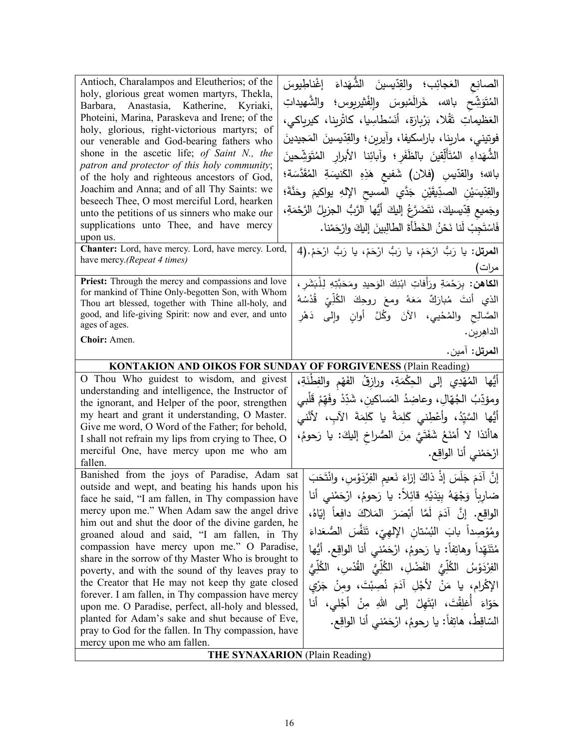| Antioch, Charalampos and Eleutherios; of the<br>holy, glorious great women martyrs, Thekla,<br>Barbara, Anastasia, Katherine, Kyriaki,<br>Photeini, Marina, Paraskeva and Irene; of the<br>holy, glorious, right-victorious martyrs; of<br>our venerable and God-bearing fathers who<br>shone in the ascetic life; of Saint N., the<br>patron and protector of this holy community; | الصانِع العَجائِب؛ والقِدّيسينَ الشُّهَداءَ إغْناطِيوسَ<br>المُتَوَشِّح بالله، خَرالَمْبوسَ والِفْشِربوس؛ والشَّهيداتِ<br>العَظيماتِ تَقْلا، بَرْبِارَة، أَنَسْطاسِيا، كاثْرِينا، كيرياكي،<br>فوتيني، ماريِنا، باراِسكيفا، وآيرين؛ والقِدّيسينَ المَجيدينَ<br>الشُّهَداءِ المُتَأَلِّقِينَ بِالظَفَرِ ؛ وآبائِنا الأبرار المُتَوَشِّحينَ |
|-------------------------------------------------------------------------------------------------------------------------------------------------------------------------------------------------------------------------------------------------------------------------------------------------------------------------------------------------------------------------------------|------------------------------------------------------------------------------------------------------------------------------------------------------------------------------------------------------------------------------------------------------------------------------------------------------------------------------------------|
| of the holy and righteous ancestors of God,<br>Joachim and Anna; and of all Thy Saints: we<br>beseech Thee, O most merciful Lord, hearken<br>unto the petitions of us sinners who make our                                                                                                                                                                                          | بالله؛ والقدّيسِ (فلان) شَفيع هَذِهِ الكَنسِنةِ المُقَدَّسَة؛<br>والقِدِّيسَيْنِ الصدِّيقَيْنِ جَدَّي المسيح الإِلهِ يواكيمَ وحَنَّةَ؛<br>وجَميع قِدّيسيكَ، نَتَضَرَّعُ إِليكَ أَيُّها الرَّبُّ الجزيلُ الرَّحْمَةِ،                                                                                                                     |
| supplications unto Thee, and have mercy<br>upon us.<br>Chanter: Lord, have mercy. Lord, have mercy. Lord,<br>have mercy.(Repeat 4 times)                                                                                                                                                                                                                                            | فَاسْتَجِبْ لَنا نَحْنُ الْخَطَأَةَ الطالِبِينَ إِلَيكَ وارْحَمْنا.<br>ا <b>لمرتل:</b> يا رَبُّ ارْحَمْ، يا رَبُّ ارْحَمْ، يا رَبُّ ارْحَمْ.(4                                                                                                                                                                                           |
| Priest: Through the mercy and compassions and love                                                                                                                                                                                                                                                                                                                                  | مرات)<br>ا <b>لكاهن:</b> بِرَحْمَةِ ورَأَفاتِ ابْنِكَ الوَحيدِ ومَحَبَّتِهِ لِلْبَشَرِ ،                                                                                                                                                                                                                                                 |
| for mankind of Thine Only-begotten Son, with Whom<br>Thou art blessed, together with Thine all-holy, and                                                                                                                                                                                                                                                                            | الذي أنتَ مُبارَكٌ مَعَهُ ومعَ روحِكَ الكُلِّيِّ قُدْسُهُ                                                                                                                                                                                                                                                                                |
| good, and life-giving Spirit: now and ever, and unto<br>ages of ages.                                                                                                                                                                                                                                                                                                               | الصَّالِح والمُحْيي، الآنَ وكُلَّ أوانِ وإِلى دَهْرِ<br>الداهِرين .                                                                                                                                                                                                                                                                      |
| Choir: Amen.                                                                                                                                                                                                                                                                                                                                                                        | ا <b>لمرتل:</b> آمين.                                                                                                                                                                                                                                                                                                                    |
|                                                                                                                                                                                                                                                                                                                                                                                     | <b>KONTAKION AND OIKOS FOR SUNDAY OF FORGIVENESS (Plain Reading)</b>                                                                                                                                                                                                                                                                     |
| O Thou Who guidest to wisdom, and givest                                                                                                                                                                                                                                                                                                                                            | أَيُّها المُهْدِي إلى الحِكْمَةِ، ورازِقُ الفَهْم والفِطْنَةِ،                                                                                                                                                                                                                                                                           |
| understanding and intelligence, the Instructor of                                                                                                                                                                                                                                                                                                                                   | ومؤدِّبُ الجُهّالِ، وعاضِدُ المَساكينِ، شَدِّدْ وفَهِّمْ قَلْبِي                                                                                                                                                                                                                                                                         |
| the ignorant, and Helper of the poor, strengthen                                                                                                                                                                                                                                                                                                                                    |                                                                                                                                                                                                                                                                                                                                          |
| my heart and grant it understanding, O Master.<br>Give me word, O Word of the Father; for behold,                                                                                                                                                                                                                                                                                   | أَيُّها السَّيِّدُ، وأَعْطِني كَلِمَةً يا كَلِمَةَ الآبِ، لأنَّني                                                                                                                                                                                                                                                                        |
| I shall not refrain my lips from crying to Thee, O                                                                                                                                                                                                                                                                                                                                  | هاأنَذا لا أَمْنَعُ شَفَتَيَّ مِنَ الصُّراخِ إليكَ: يا رَحومُ،                                                                                                                                                                                                                                                                           |
| merciful One, have mercy upon me who am                                                                                                                                                                                                                                                                                                                                             | ارْحَمْني أنا الواقِع.                                                                                                                                                                                                                                                                                                                   |
| fallen.                                                                                                                                                                                                                                                                                                                                                                             |                                                                                                                                                                                                                                                                                                                                          |
| Banished from the joys of Paradise, Adam sat<br>outside and wept, and beating his hands upon his                                                                                                                                                                                                                                                                                    | إِنَّ آدَمَ جَلَسَ إِذْ ذاكَ إِزاءَ نَعيمِ الفِرْدَوْسِ، وانْتَحَبَ                                                                                                                                                                                                                                                                      |
| face he said, "I am fallen, in Thy compassion have                                                                                                                                                                                                                                                                                                                                  | ضارِباً وَجْهَهُ بِيَدَيْهِ قائِلاً: يا رَحومُ، ارْحَمْني أنا                                                                                                                                                                                                                                                                            |
| mercy upon me." When Adam saw the angel drive                                                                                                                                                                                                                                                                                                                                       | الواقِع. إِنَّ آدَمَ لَمَّا أَبْصَرَ المَلاكَ دافِعاً إِيّاهُ،                                                                                                                                                                                                                                                                           |
| him out and shut the door of the divine garden, he                                                                                                                                                                                                                                                                                                                                  | ومُؤْصِداً بابَ النُسْتانِ الإِلْهِيِّ، تَنَفَّسَ الصُّعَداءَ                                                                                                                                                                                                                                                                            |
| groaned aloud and said, "I am fallen, in Thy                                                                                                                                                                                                                                                                                                                                        |                                                                                                                                                                                                                                                                                                                                          |
| compassion have mercy upon me." O Paradise,<br>share in the sorrow of thy Master Who is brought to                                                                                                                                                                                                                                                                                  | مُتَنَهّداً وهاتِفاً: يا رَحومُ، ارْحَمْني أنا الواقِع. أيُها                                                                                                                                                                                                                                                                            |
| poverty, and with the sound of thy leaves pray to                                                                                                                                                                                                                                                                                                                                   | الفِرْدَوْسُ الكُلِّيُّ الفَضْلِ، الكُلِّيُّ القُّدْسِ، الكُلِّيُّ                                                                                                                                                                                                                                                                       |
| the Creator that He may not keep thy gate closed                                                                                                                                                                                                                                                                                                                                    | الإكْرام، يا مَنْ لأَجْلِ آدَمَ نُصِبْتَ، ومنْ جَرْي                                                                                                                                                                                                                                                                                     |
| forever. I am fallen, in Thy compassion have mercy                                                                                                                                                                                                                                                                                                                                  |                                                                                                                                                                                                                                                                                                                                          |
| upon me. O Paradise, perfect, all-holy and blessed,                                                                                                                                                                                                                                                                                                                                 | حَوّاءَ أَغلِقْتَ، ابْتَهِلْ إِلَى اللهِ مِنْ أَجْلَى،                                                                                                                                                                                                                                                                                   |
| planted for Adam's sake and shut because of Eve,                                                                                                                                                                                                                                                                                                                                    | السّاقِطُ، هاتِفاً: يا رحومُ، ارْحَمْني أنا الواقِع.                                                                                                                                                                                                                                                                                     |
| pray to God for the fallen. In Thy compassion, have<br>mercy upon me who am fallen.                                                                                                                                                                                                                                                                                                 |                                                                                                                                                                                                                                                                                                                                          |
|                                                                                                                                                                                                                                                                                                                                                                                     | <b>THE SYNAXARION</b> (Plain Reading)                                                                                                                                                                                                                                                                                                    |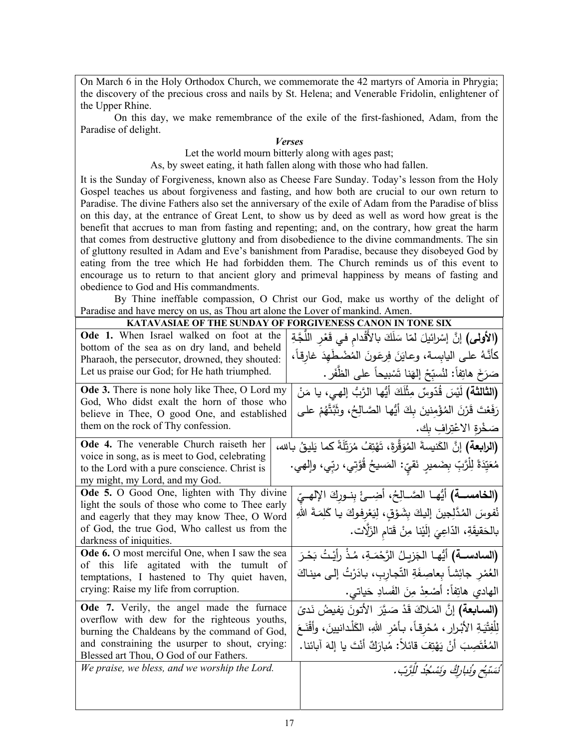On March 6 in the Holy Orthodox Church, we commemorate the 42 martyrs of Amoria in Phrygia; the discovery of the precious cross and nails by St. Helena; and Venerable Fridolin, enlightener of the Upper Rhine.

On this day, we make remembrance of the exile of the first-fashioned, Adam, from the Paradise of delight.

## *Verses*

Let the world mourn bitterly along with ages past;

As, by sweet eating, it hath fallen along with those who had fallen.

It is the Sunday of Forgiveness, known also as Cheese Fare Sunday. Today's lesson from the Holy Gospel teaches us about forgiveness and fasting, and how both are crucial to our own return to Paradise. The divine Fathers also set the anniversary of the exile of Adam from the Paradise of bliss on this day, at the entrance of Great Lent, to show us by deed as well as word how great is the benefit that accrues to man from fasting and repenting; and, on the contrary, how great the harm that comes from destructive gluttony and from disobedience to the divine commandments. The sin of gluttony resulted in Adam and Eve's banishment from Paradise, because they disobeyed God by eating from the tree which He had forbidden them. The Church reminds us of this event to encourage us to return to that ancient glory and primeval happiness by means of fasting and obedience to God and His commandments.

 By Thine ineffable compassion, O Christ our God, make us worthy of the delight of Paradise and have mercy on us, as Thou art alone the Lover of mankind. Amen.

## **KATAVASIAE OF THE SUNDAY OF FORGIVENESS CANON IN TONE SIX**

| , martin of the subst                                                                       | EREBB CARTON IN TONE BEN                                                               |
|---------------------------------------------------------------------------------------------|----------------------------------------------------------------------------------------|
| Ode 1. When Israel walked on foot at the<br>bottom of the sea as on dry land, and beheld    | (الأولى) إنَّ إسْرائيلَ لمّا سَلَكَ بالأَقْدام في قَعْرِ اللَّجَّةِ                    |
| Pharaoh, the persecutor, drowned, they shouted:                                             | كأنَّهُ على اليابسة، وعايَنَ فِرعَونَ المُضْطَهِدَ غارِقاً،                            |
| Let us praise our God; for He hath triumphed.                                               | صَرَخَ هاتِفاً: لنُسبِّحْ إلهَنا تَسْبِيحاً على الظُّفَرِ .                            |
| Ode 3. There is none holy like Thee, O Lord my                                              | (الثالثة) لَيْسَ قُدّوسٌ مِثْلَكَ أَيُّها الرَّبُّ إلهي، يا مَنْ                       |
| God, Who didst exalt the horn of those who<br>believe in Thee, O good One, and established  | رَفَعْتَ قَرْنَ الْمُؤْمِنينَ بِكَ أَيُّها الصَّالِحُ، وثَبَّتَّهُمْ على               |
| them on the rock of Thy confession.                                                         | صَخْرةِ الاعْتِرافِ بِك.                                                               |
| Ode 4. The venerable Church raiseth her                                                     | (ا <b>لرابعة)</b> إنَّ الكَنيسةَ المُوَقَّرَةَ، تَهْتِفُ مُرَتِّلَةً كما يَليقُ بالله، |
| voice in song, as is meet to God, celebrating                                               | مُعَيِّدَةً لِلْرَّبِّ بِضَميرِ نَقيِّ: الْمَسيحُ قُوَّتِي، ربِّي، وإِلهي.             |
| to the Lord with a pure conscience. Christ is<br>my might, my Lord, and my God.             |                                                                                        |
| Ode 5. O Good One, lighten with Thy divine                                                  |                                                                                        |
| light the souls of those who come to Thee early                                             | <b>(الخامســة)</b> أيُّهــا الصَّــالِحُ، أَضِـــئْ بِنــوركَ الإِلهــيّ               |
| and eagerly that they may know Thee, O Word                                                 | نُفوسَ المُدَّلِجينَ إليكَ بِشَوْقٍ، لِيَعْرِفوكَ يـا كَلِمَـةَ اللهِ                  |
| of God, the true God, Who callest us from the                                               | بالحَقيقَةِ، الدّاعِيَ إِلَيْنا مِنْ قَتام الزَلَّات.                                  |
| darkness of iniquities.                                                                     |                                                                                        |
| Ode 6. O most merciful One, when I saw the sea                                              | (ا <b>لسادســة)</b> أَيُّهـا الجَزيـلُ الرَّحْمَـةِ، مُذْ رأَيْـتُ بَحْـرَ             |
| of this life agitated with the tumult of<br>temptations, I hastened to Thy quiet haven,     | العُمْرِ جائِشاً بِعاصِفَةِ التّجاربِ، بادَرْتُ إلى ميناكَ                             |
| crying: Raise my life from corruption.                                                      | المهادي هاتِفاً: أَصْعِدْ مِنَ الفَسادِ حَياتي.                                        |
|                                                                                             |                                                                                        |
| Ode 7. Verily, the angel made the furnace                                                   | (ا <b>لسـابعة)</b> إنَّ المَـلاكَ قَدْ صَـيَّرَ  الأتونَ يَفيضُ نَد <i>ىً</i>          |
| overflow with dew for the righteous youths,<br>burning the Chaldeans by the command of God, | لِلْفِتْيَةِ الأَبْرارِ ، مُحْرِقاً، بـأَمْرِ اللهِ، الكَلْدانيينَ، وأَقْنَعَ          |
| and constraining the usurper to shout, crying:                                              | الْمُغْتَصِبَ أَنْ يَهْتِفَ قَائِلاً: مُبارَكٌ أَنْتَ يا إِلهَ آبائنا.                 |
| Blessed art Thou, O God of our Fathers.                                                     |                                                                                        |
| We praise, we bless, and we worship the Lord.                                               | ْ نَسَنَبُح وُنِبارِكُ وَنَسْكُدُ لِلرَّبِّ.                                           |
|                                                                                             |                                                                                        |
|                                                                                             |                                                                                        |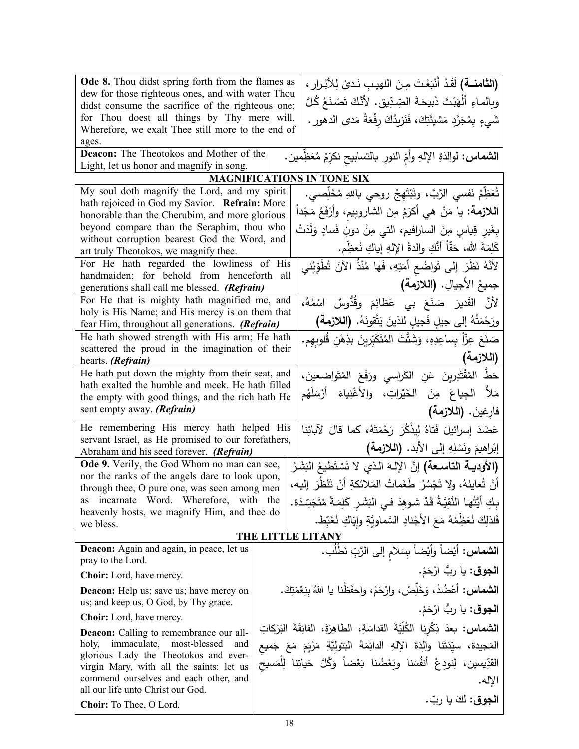| Ode 8. Thou didst spring forth from the flames as<br>(الثامنة) لَقَدْ أَنْبَعْتَ مِنَ اللهيب نَدىً لِلأبْرارِ ،        |  |                                                                                         |
|------------------------------------------------------------------------------------------------------------------------|--|-----------------------------------------------------------------------------------------|
| dew for those righteous ones, and with water Thou<br>didst consume the sacrifice of the righteous one;                 |  | وبِالماءِ أَلْهَبْتَ ذَبِيحَةَ الصِّدِّيقِ. لأَنَّكَ تَصْنَعُ كُلَّ                     |
| for Thou doest all things by Thy mere will.                                                                            |  | شَيءٍ بِمُجَرَّدٍ مَشيئَتِكَ، فَنَزِيدُكَ رِفْعَةً مَدى الدهورِ .                       |
| Wherefore, we exalt Thee still more to the end of                                                                      |  |                                                                                         |
| ages.                                                                                                                  |  |                                                                                         |
| Deacon: The Theotokos and Mother of the                                                                                |  | ا <b>لشماس:</b> لوالدَةِ الإِلهِ وأمِّ النورِ بالتسابيحِ نكرِّمُ مُعَظِّمين.            |
| Light, let us honor and magnify in song.                                                                               |  |                                                                                         |
|                                                                                                                        |  | <b>MAGNIFICATIONS IN TONE SIX</b>                                                       |
| My soul doth magnify the Lord, and my spirit<br>hath rejoiced in God my Savior. Refrain: More                          |  | تُعَظِّمُ نَفسي الرَّبَّ، وتَبْتَهِجُ روحي باللهِ مُخَلِّصي.                            |
| honorable than the Cherubim, and more glorious                                                                         |  | ا <b>للازمة:</b> يا مَنْ هي أكرَمُ مِنَ الشاروبيم، وأرْفَعُ مَجْداً                     |
| beyond compare than the Seraphim, thou who                                                                             |  | بِغَيرِ قِياسٍ مِنَ الساراِفيمِ، التي مِنْ دونِ فَسادٍ وَلَدَتْ                         |
| without corruption bearest God the Word, and<br>art truly Theotokos, we magnify thee.                                  |  | كَلِمَةَ الله، حَقًّا أَنَّكِ والدةُ الإِلهِ إياكِ نُعظِّم.                             |
| For He hath regarded the lowliness of His                                                                              |  | لأَنَّهُ نَظَرَ إلى تَواضُعٍ أَمَتِهِ، فَها مُنْذُ الآنَ تُطَوِّبُني                    |
| handmaiden; for behold from henceforth all                                                                             |  |                                                                                         |
| generations shall call me blessed. (Refrain)                                                                           |  | جميعُ الأجيالِ. (اللازمة)                                                               |
| For He that is mighty hath magnified me, and                                                                           |  | لأَنَّ القَديرَ صَنَعَ بي عَظَائِمَ وقُدُّوسٌ اسْمُهُ،                                  |
| holy is His Name; and His mercy is on them that<br>fear Him, throughout all generations. (Refrain)                     |  | ورَحْمَتُهُ إلى جيلٍ فَجيلٍ للذينَ يَتَّقونَهُ. (اللازمة)                               |
| He hath showed strength with His arm; He hath                                                                          |  | صَنَعَ عِزّاً بِساعِدِهِ، وَشَتَّتَ المُتَكَبِّرِينَ بذِهْنِ قَلوبِهِم.                 |
| scattered the proud in the imagination of their                                                                        |  | (اللازمة)                                                                               |
| hearts. (Refrain)                                                                                                      |  |                                                                                         |
| He hath put down the mighty from their seat, and<br>hath exalted the humble and meek. He hath filled                   |  | حَطٌّ المُقْتَدِرِينَ عَنِ الكَراسي ورَفَعَ المُتَواضعينَ،                              |
| the empty with good things, and the rich hath He                                                                       |  | مَلأُ   الجِياعَ   مِنَ    الخَيْراتِ،    والأغْنِياءَ    أرْسَلَهُم                    |
| sent empty away. (Refrain)                                                                                             |  | فارغينَ. (اللازمة)                                                                      |
| He remembering His mercy hath helped His                                                                               |  | عَضَدَ إسرائيلَ فَتاهُ لِيذْكُرَ رَحْمَتَهُ، كما قالَ لآبائِنا                          |
| servant Israel, as He promised to our forefathers,                                                                     |  | إبْراهيمَ ونَسْلِهِ إلى الأبد. (اللازمة)                                                |
| Abraham and his seed forever. (Refrain)                                                                                |  |                                                                                         |
| Ode 9. Verily, the God Whom no man can see,                                                                            |  | (الأوديــة التاســعة) إنَّ الإلـهَ الـذي لا تَسْتَطيعُ البَشَرُ                         |
| nor the ranks of the angels dare to look upon,<br>through thee, O pure one, was seen among men                         |  | أَنْ تُعاينَهُ، ولا تَجْسُرُ طَغَماتُ المَلائكةِ أَنْ تَنْظُرَ إليه،                    |
| as incarnate Word. Wherefore, with the                                                                                 |  | بِكِ أَيَّتُها النَّقِيَّةُ قَدْ شوهدَ فـى البَشَرِ كَلِمَـةً مُتَجَسِّدَة.             |
| heavenly hosts, we magnify Him, and thee do<br>we bless.                                                               |  | فَلذَلِكَ نُعَظِّمُهُ مَعَ الأَجْنادِ السَّماوِيَّةِ وايّاكِ نُغَبّط.                   |
| THE LITTLE LITANY                                                                                                      |  |                                                                                         |
| <b>Deacon:</b> Again and again, in peace, let us                                                                       |  | ا <b>لشماس:</b> أَيْضاً وأَيْضاً بِسَلامِ إلى الرَّبِّ نَطْلَب.                         |
| pray to the Lord.                                                                                                      |  |                                                                                         |
| Choir: Lord, have mercy.                                                                                               |  | ا <b>لجوق</b> : يا ربُّ ارْحَمْ.                                                        |
| <b>Deacon:</b> Help us; save us; have mercy on                                                                         |  | ا <b>لشماس:</b> أعْضُدْ، وَخَلِّصْ، وارْحَمْ، واحفَظْنا يا اللهُ بنِعْمَتِكَ.           |
| us; and keep us, O God, by Thy grace.                                                                                  |  | ا <b>لجوق</b> : يا ربُّ ارْحَمْ.                                                        |
| <b>Choir:</b> Lord, have mercy.                                                                                        |  | ا <b>لشماس:</b> بعدَ ذِكْرِنا الكُلِّيَّةَ القداسَةِ، الطاهِرَةَ، الفائِقَةَ البَرَكاتِ |
| <b>Deacon:</b> Calling to remembrance our all-<br>immaculate, most-blessed<br>holy,<br>and                             |  |                                                                                         |
| glorious Lady the Theotokos and ever-                                                                                  |  | المَجيدة، سيّدَتَنا والِدَةَ الإِلهِ الدائِمَةَ البَتولِيَّةِ مَرْيَمَ مَعَ جَميع       |
| القدِّيسين، لِنودِعْ أنفُسَنا وبَعْضُنا بَعْضاً وَكُلَّ حَياتِنا لِلْمَسيح<br>virgin Mary, with all the saints: let us |  |                                                                                         |
| commend ourselves and each other, and<br>الإله.                                                                        |  |                                                                                         |
| all our life unto Christ our God.                                                                                      |  | ا <b>لجوق:</b> لكَ يا ربّ.                                                              |
| Choir: To Thee, O Lord.                                                                                                |  |                                                                                         |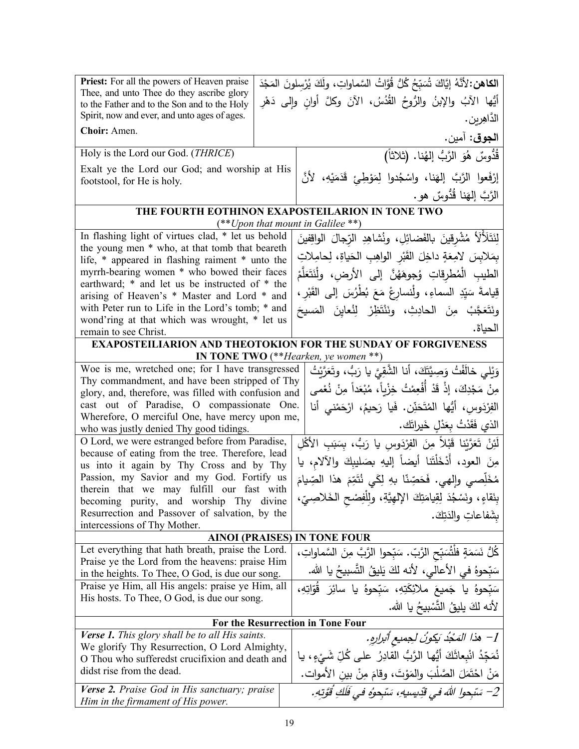| <b>Priest:</b> For all the powers of Heaven praise                                                                                        |  | الكاهن: لأنَّهُ إِيَّاكَ شُمَبِّحُ كُلُّ قُوَّاتُ السَّماواتِ، ولَكَ يُرْسلونَ المَجْدَ |
|-------------------------------------------------------------------------------------------------------------------------------------------|--|-----------------------------------------------------------------------------------------|
| Thee, and unto Thee do they ascribe glory<br>to the Father and to the Son and to the Holy<br>Spirit, now and ever, and unto ages of ages. |  | أَيُّها الآبُ والإبنُ والرُّوحُ القُدُسُ، الآنَ وكلَّ أوانِ وإلى دَهْرِ                 |
| Choir: Amen.                                                                                                                              |  | الدَّاهِرين .                                                                           |
|                                                                                                                                           |  | ا <b>لجوق</b> : آمين.                                                                   |
| Holy is the Lord our God. (THRICE)                                                                                                        |  | قُدُّوسٌ هُوَ الرَّبُّ إِلهُنا. (ثلاثاً)                                                |
| Exalt ye the Lord our God; and worship at His                                                                                             |  | إِرْفَعوا الرَّبَّ إِلهَنا، واسْجُدوا لِمَوْطِئٍ قَدَمَيْهِ، لأَنَّ                     |
| footstool, for He is holy.                                                                                                                |  |                                                                                         |
|                                                                                                                                           |  | الرَّبَّ إِلهَنا قُدُّوسٌ هو .                                                          |
| THE FOURTH EOTHINON EXAPOSTEILARION IN TONE TWO<br>$(**Upon$ that mount in Galilee **)                                                    |  |                                                                                         |
| In flashing light of virtues clad, * let us behold                                                                                        |  | لِنَتَلَأَلَأَ مُشْرِقِينَ بِالفَضائِلِ، ونُشاهِدِ الرّجالَ الواقِفينَ                  |
| the young men * who, at that tomb that beareth                                                                                            |  | بمَلابسَ لامِعَةٍ داخِلَ القَبْرِ الواهِبِ الْحَياةِ، لِحامِلاتِ                        |
| life, * appeared in flashing raiment * unto the                                                                                           |  |                                                                                         |
| myrrh-bearing women * who bowed their faces<br>earthward; * and let us be instructed of * the                                             |  | الطيبِ الْمُطْرِقاتِ وُجوهَهُنَّ إِلَى الأَرضِ، ولِّنَتَعَلَّمْ                         |
| arising of Heaven's * Master and Lord * and                                                                                               |  | قِيامةَ سَيِّدِ السماءِ، ولَّنسارِعْ مَعَ بُطْرُسَ إلىي القَبْرِ،                       |
| with Peter run to Life in the Lord's tomb; * and                                                                                          |  | ونَتَعَجَّبْ مِنَ الحادِثِ، ونَنْتَظِرْ لِنُعاينَ المَسيحَ                              |
| wond'ring at that which was wrought, * let us<br>remain to see Christ.                                                                    |  | الحياة.                                                                                 |
| <b>EXAPOSTEILIARION AND THEOTOKION FOR THE SUNDAY OF FORGIVENESS</b>                                                                      |  |                                                                                         |
|                                                                                                                                           |  | IN TONE TWO $(**Hearken, ye women **)$                                                  |
| Woe is me, wretched one; for I have transgressed                                                                                          |  | وَيْلِي خالَفْتُ وَصِيَّتَكَ، أَنا الشَّقِيَّ يا رَبُّ، وتَعَرَّيْتُ                    |
| Thy commandment, and have been stripped of Thy                                                                                            |  | مِنْ مَجْدِكَ، إِذْ قَدْ أُفْعِمْتُ خِزْياً، مُبْعَداً مِنْ نُعْمى                      |
| glory, and, therefore, was filled with confusion and<br>cast out of Paradise, O compassionate One.                                        |  | الفِرْدَوس، أَيُّها المُتَحَنِّن. فَيا رَحِيمُ، ارْحَمْني أنا                           |
| Wherefore, O merciful One, have mercy upon me,                                                                                            |  |                                                                                         |
| who was justly denied Thy good tidings.                                                                                                   |  | الذي فَقَدْتُ بِعَدْلِ خَيراتَك.                                                        |
| O Lord, we were estranged before from Paradise,                                                                                           |  | لَئِنْ تَعَرَّبْنا قَبْلاً مِنَ الفِرْدَوسِ يا رَبُّ، بِسَبَبِ الأَكْلِ                 |
| because of eating from the tree. Therefore, lead<br>us into it again by Thy Cross and by Thy                                              |  | مِنَ العود، أَدْخَلْتَنا أيضاً إليهِ بصَليبِكَ والآلام، يا                              |
| Passion, my Savior and my God. Fortify us                                                                                                 |  | مُخَلِّصي وإِلهي. فَحَصِّنًا بهِ لِكَي نُتَمِّمَ هذا الصِّيامَ                          |
| therein that we may fulfill our fast with                                                                                                 |  | بِنَقَاءٍ، ونَسْجُدَ لِقِيامَتِكَ الإلهِيَّةِ، ولِلْفِصْحِ الْخَلاصِيِّ،                |
| becoming purity, and worship Thy divine<br>Resurrection and Passover of salvation, by the                                                 |  |                                                                                         |
| intercessions of Thy Mother.                                                                                                              |  | بشَفاعاتِ والدَتِكَ.                                                                    |
| <b>AINOI (PRAISES) IN TONE FOUR</b>                                                                                                       |  |                                                                                         |
| Let everything that hath breath, praise the Lord.                                                                                         |  | كُلٌ نَسَمَةٍ فلَثُسَبِّحِ الرَّبِّ. سَبِّحوا الرَّبَّ مِنَ السَّماواتِ،                |
| Praise ye the Lord from the heavens: praise Him<br>in the heights. To Thee, O God, is due our song.                                       |  | سَبِّحوهُ في الأعالي، لأنه لكَ يَليقُ التَّسبيحُ يا الله.                               |
| Praise ye Him, all His angels: praise ye Him, all                                                                                         |  | سَبّحوهُ يا جَميعَ ملائِكَتِهِ، سَبّحوهُ يا سائِرَ قُوّاتِهِ،                           |
| His hosts. To Thee, O God, is due our song.                                                                                               |  |                                                                                         |
|                                                                                                                                           |  | لأنه لكَ يليقُ التَّسْبِيحُ يا الله.                                                    |
| For the Resurrection in Tone Four                                                                                                         |  |                                                                                         |
| Verse 1. This glory shall be to all His saints.<br>We glorify Thy Resurrection, O Lord Almighty,                                          |  | 1– هذا المَجْدُ يَكونُ لِجميعِ أَبْرارِهِ.                                              |
| O Thou who sufferedst crucifixion and death and                                                                                           |  | نُمَجّدُ انْبِعاثَكَ أَيُّها الرَّبُّ القادِرُ على كُلِّ شَيْءٍ، يا                     |
| didst rise from the dead.                                                                                                                 |  | مَنْ احْتَمَلَ الصَّلْبَ والمَوْتَ، وقامَ مِنْ بين الأموات.                             |
| Verse 2. Praise God in His sanctuary; praise<br>Him in the firmament of His power.                                                        |  | 2– سَبْحوا اللهَ في قَدِيسِيهِ، سَبْحوهُ في قَلَكِ قُوَّتِهِ.                           |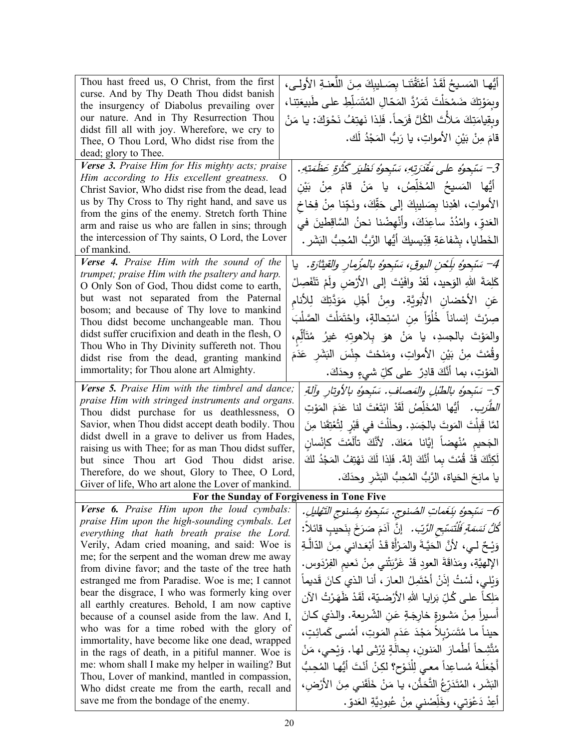| Thou hast freed us, O Christ, from the first<br>curse. And by Thy Death Thou didst banish<br>the insurgency of Diabolus prevailing over<br>our nature. And in Thy Resurrection Thou<br>didst fill all with joy. Wherefore, we cry to<br>Thee, O Thou Lord, Who didst rise from the<br>dead; glory to Thee.<br>Verse 3. Praise Him for His mighty acts; praise<br>Him according to His excellent greatness.<br>$\circ$<br>Christ Savior, Who didst rise from the dead, lead<br>us by Thy Cross to Thy right hand, and save us<br>from the gins of the enemy. Stretch forth Thine<br>arm and raise us who are fallen in sins; through<br>the intercession of Thy saints, O Lord, the Lover<br>of mankind. | أَيُّها المَسيحُ لَقَدْ أَعْتَقْتَنا بِصَلِيبِكَ مِنَ اللُّعنةِ الأُولِي،<br>وبِمَوْتِكَ ضَمْحَلْتَ تَمَرُدَّ المَحّالِ المُتَسَلِّطِ على طَبيعَتِنا ،<br>وبِقِيامَتِكَ مَلأَتَ الكُلَّ فَرَحاً. فَلِذا نَهتِفُ نَحْوَكَ: يا مَنْ<br>قامَ مِنْ بَيْنِ الأَمواتِ، يا رَبُّ المَجْدُ لَك.<br>3– سَبْحوُه على مَقْدَرتِهِ، سَبْحوُه نَظْيَر كَثْرَةِ عَظَمَتِهِ.<br>ِ أَيُّها المَسيحُ المُخَلِّصُ، يا مَنْ قامَ مِنْ بَيْن<br>الأمواتِ، اهْدِنا بِصَليبِكَ إلى حَقِّكَ، ونَجِّنا مِنْ فِخاخِ<br>العَدوِّ، وامْدُدْ ساعِدَكَ، وأَنْهِضْنا نحنُ السَّاقِطينَ في<br>الخَطايا، بشَفاعَةِ قِدِّيسيكَ أَيُّها الرَّبُّ المُحِبُّ البَشَرِ . |
|---------------------------------------------------------------------------------------------------------------------------------------------------------------------------------------------------------------------------------------------------------------------------------------------------------------------------------------------------------------------------------------------------------------------------------------------------------------------------------------------------------------------------------------------------------------------------------------------------------------------------------------------------------------------------------------------------------|-------------------------------------------------------------------------------------------------------------------------------------------------------------------------------------------------------------------------------------------------------------------------------------------------------------------------------------------------------------------------------------------------------------------------------------------------------------------------------------------------------------------------------------------------------------------------------------------------------------------------------------|
| Verse 4. Praise Him with the sound of the                                                                                                                                                                                                                                                                                                                                                                                                                                                                                                                                                                                                                                                               | 4– سَبْحوهُ بِلِحْنِ البوقِ، سَبْحوهُ بالمِزْمارِ والقيثارَةِ.   يا                                                                                                                                                                                                                                                                                                                                                                                                                                                                                                                                                                 |
| trumpet; praise Him with the psaltery and harp.                                                                                                                                                                                                                                                                                                                                                                                                                                                                                                                                                                                                                                                         |                                                                                                                                                                                                                                                                                                                                                                                                                                                                                                                                                                                                                                     |
| O Only Son of God, Thou didst come to earth,                                                                                                                                                                                                                                                                                                                                                                                                                                                                                                                                                                                                                                                            | كَلِمَةَ اللهِ الوَحيد، لَقدْ وافَيْتَ إلى الأَرْضِ ولَمْ تَنْفَصِلْ                                                                                                                                                                                                                                                                                                                                                                                                                                                                                                                                                                |
| but wast not separated from the Paternal                                                                                                                                                                                                                                                                                                                                                                                                                                                                                                                                                                                                                                                                | عَنِ الأَحْضانِ الأَبَوِيَّةِ. ومِنْ أَجْلِ مَوَدَّتِكَ لِلأَنام                                                                                                                                                                                                                                                                                                                                                                                                                                                                                                                                                                    |
| bosom; and because of Thy love to mankind<br>Thou didst become unchangeable man. Thou                                                                                                                                                                                                                                                                                                                                                                                                                                                                                                                                                                                                                   | صِرْتَ إنساناً خُلُوّاً مِنِ اسْتِحالةٍ، واحْتَمَلْتَ الصَّلْبَ                                                                                                                                                                                                                                                                                                                                                                                                                                                                                                                                                                     |
| didst suffer crucifixion and death in the flesh, O                                                                                                                                                                                                                                                                                                                                                                                                                                                                                                                                                                                                                                                      | والمَوْتَ بالجسدِ، يا مَنْ هوَ بِلاهوتِهِ غيرُ مُتَأَلِّم،                                                                                                                                                                                                                                                                                                                                                                                                                                                                                                                                                                          |
| Thou Who in Thy Divinity suffereth not. Thou                                                                                                                                                                                                                                                                                                                                                                                                                                                                                                                                                                                                                                                            |                                                                                                                                                                                                                                                                                                                                                                                                                                                                                                                                                                                                                                     |
| didst rise from the dead, granting mankind                                                                                                                                                                                                                                                                                                                                                                                                                                                                                                                                                                                                                                                              | وقُمْتَ مِنْ بَيْنِ الأمواتِ، ومَنَحْتَ جِنْسَ البَشَرِ عَدَمَ                                                                                                                                                                                                                                                                                                                                                                                                                                                                                                                                                                      |
| immortality; for Thou alone art Almighty.                                                                                                                                                                                                                                                                                                                                                                                                                                                                                                                                                                                                                                                               | المَوْتِ، بما أَنَّكَ قادِرٌ على كلِّ شيءٍ وحدَكَ.                                                                                                                                                                                                                                                                                                                                                                                                                                                                                                                                                                                  |
| Verse 5. Praise Him with the timbrel and dance;                                                                                                                                                                                                                                                                                                                                                                                                                                                                                                                                                                                                                                                         | 5– سَبْحوهُ بالطَّبْلِ والمَصافِ. سَبْحوهُ بالأوتارِ وآلةِ                                                                                                                                                                                                                                                                                                                                                                                                                                                                                                                                                                          |
| praise Him with stringed instruments and organs.                                                                                                                                                                                                                                                                                                                                                                                                                                                                                                                                                                                                                                                        | الطَّرَبِ. أَيُّها المُخَلِّصُ لَقَدْ ابْتَعْتَ لَنا عَدَمَ المَوْتِ                                                                                                                                                                                                                                                                                                                                                                                                                                                                                                                                                                |
| Thou didst purchase for us deathlessness, O                                                                                                                                                                                                                                                                                                                                                                                                                                                                                                                                                                                                                                                             |                                                                                                                                                                                                                                                                                                                                                                                                                                                                                                                                                                                                                                     |
| Savior, when Thou didst accept death bodily. Thou<br>didst dwell in a grave to deliver us from Hades,                                                                                                                                                                                                                                                                                                                                                                                                                                                                                                                                                                                                   | لمَّا قَبِلْتَ المَوتَ بالجَسَدِ. وحلَلْتَ في قَبْرِ لِتُعْتِقَنا مِنَ                                                                                                                                                                                                                                                                                                                                                                                                                                                                                                                                                              |
| raising us with Thee; for as man Thou didst suffer,                                                                                                                                                                                                                                                                                                                                                                                                                                                                                                                                                                                                                                                     | الجَحيم مُنْهِضاً إِيَّانا مَعَكَ. لأَنَّكَ تألَمْتَ كإنْسان                                                                                                                                                                                                                                                                                                                                                                                                                                                                                                                                                                        |
| but since Thou art God Thou didst arise.                                                                                                                                                                                                                                                                                                                                                                                                                                                                                                                                                                                                                                                                | لَكِنَّكَ قَدْ قُمْتَ بِما أَنَّكَ إِلهٌ. فَلِذا لَكَ نَهْتِفُ المَجْدُ لِكَ                                                                                                                                                                                                                                                                                                                                                                                                                                                                                                                                                        |
| Therefore, do we shout, Glory to Thee, O Lord,                                                                                                                                                                                                                                                                                                                                                                                                                                                                                                                                                                                                                                                          | يا مانِحَ الحَياة، الرَّبُّ المُحِبُّ النِّشَرِ وحدَكَ.                                                                                                                                                                                                                                                                                                                                                                                                                                                                                                                                                                             |
| Giver of life, Who art alone the Lover of mankind.                                                                                                                                                                                                                                                                                                                                                                                                                                                                                                                                                                                                                                                      |                                                                                                                                                                                                                                                                                                                                                                                                                                                                                                                                                                                                                                     |
|                                                                                                                                                                                                                                                                                                                                                                                                                                                                                                                                                                                                                                                                                                         | For the Sunday of Forgiveness in Tone Five                                                                                                                                                                                                                                                                                                                                                                                                                                                                                                                                                                                          |
| Verse 6. Praise Him upon the loud cymbals:<br>praise Him upon the high-sounding cymbals. Let                                                                                                                                                                                                                                                                                                                                                                                                                                                                                                                                                                                                            | 6– سَبْحِوُه بِنَغَماتِ الصُنوجِ. سَبْحِوُه بِصُنوجِ النَّهْليلِ.                                                                                                                                                                                                                                                                                                                                                                                                                                                                                                                                                                   |
| everything that hath breath praise the Lord.                                                                                                                                                                                                                                                                                                                                                                                                                                                                                                                                                                                                                                                            | كُ <i>لُّ نَسَمَةٍ فَلْتَسَبِّحِ الرَّبِّ .</i> إنَّ آدَمَ صَرَخَ بِنَحيبٍ قائلاً:                                                                                                                                                                                                                                                                                                                                                                                                                                                                                                                                                  |
| Verily, Adam cried moaning, and said: Woe is                                                                                                                                                                                                                                                                                                                                                                                                                                                                                                                                                                                                                                                            | وَيْـحٌ لــي، لأنَّ الحَيَّـةَ والمَـرْأَةَ قَـدْ أَبْعَـدانـي مِـنَ الدّالَّـةِ                                                                                                                                                                                                                                                                                                                                                                                                                                                                                                                                                    |
| me; for the serpent and the woman drew me away                                                                                                                                                                                                                                                                                                                                                                                                                                                                                                                                                                                                                                                          | الإلهيَّةِ، ومَذاقَةَ العودِ قَدْ غَرَّبَتْني مِنْ نَعيمِ الفِرْدَوسِ.                                                                                                                                                                                                                                                                                                                                                                                                                                                                                                                                                              |
| from divine favor; and the taste of the tree hath                                                                                                                                                                                                                                                                                                                                                                                                                                                                                                                                                                                                                                                       |                                                                                                                                                                                                                                                                                                                                                                                                                                                                                                                                                                                                                                     |
| estranged me from Paradise. Woe is me; I cannot                                                                                                                                                                                                                                                                                                                                                                                                                                                                                                                                                                                                                                                         | وَيْلِي، لَسْتُ إِذَنْ أَحْتَمِلُ العارَ ، أنا الذي كانَ قَديماً                                                                                                                                                                                                                                                                                                                                                                                                                                                                                                                                                                    |
| bear the disgrace, I who was formerly king over<br>all earthly creatures. Behold, I am now captive                                                                                                                                                                                                                                                                                                                                                                                                                                                                                                                                                                                                      | مَلِكاً علـى كُلِّ بَرايـا اللهِ الأَرْضـيّة، لَقَدْ ظَهَرْتُ الآن                                                                                                                                                                                                                                                                                                                                                                                                                                                                                                                                                                  |
| because of a counsel aside from the law. And I,                                                                                                                                                                                                                                                                                                                                                                                                                                                                                                                                                                                                                                                         | أسيراً مِنْ مَشورةٍ خارِجَةٍ عَنِ الشّريعة. والذي كـانَ                                                                                                                                                                                                                                                                                                                                                                                                                                                                                                                                                                             |
| who was for a time robed with the glory of                                                                                                                                                                                                                                                                                                                                                                                                                                                                                                                                                                                                                                                              | حينـاً مـا مُتَسَرْبِلاً مَجْدَ عَدَم المَوتِ، أَمْسـى كَمائِتٍ،                                                                                                                                                                                                                                                                                                                                                                                                                                                                                                                                                                    |
| immortality, have become like one dead, wrapped                                                                                                                                                                                                                                                                                                                                                                                                                                                                                                                                                                                                                                                         |                                                                                                                                                                                                                                                                                                                                                                                                                                                                                                                                                                                                                                     |
| in the rags of death, in a pitiful manner. Woe is                                                                                                                                                                                                                                                                                                                                                                                                                                                                                                                                                                                                                                                       | مُتَّشِحاً أَطْمارَ  المَنونِ، بِحالَةٍ يُرْثِي لها. وَبْحي، مَنْ                                                                                                                                                                                                                                                                                                                                                                                                                                                                                                                                                                   |
| me: whom shall I make my helper in wailing? But                                                                                                                                                                                                                                                                                                                                                                                                                                                                                                                                                                                                                                                         | أَجْعَلُهُ مُساعِداً معى لِلْنَوْحِ؟ لكِنْ أنْتَ أَيُّها المُحِبُّ                                                                                                                                                                                                                                                                                                                                                                                                                                                                                                                                                                  |
| Thou, Lover of mankind, mantled in compassion,<br>Who didst create me from the earth, recall and                                                                                                                                                                                                                                                                                                                                                                                                                                                                                                                                                                                                        | البَشَرِ ، المُتَدَرِّعُ التَّحَنُّنِ ، يا مَنْ خَلَقَني مِنَ الأَرْضِ ،                                                                                                                                                                                                                                                                                                                                                                                                                                                                                                                                                            |
| save me from the bondage of the enemy.                                                                                                                                                                                                                                                                                                                                                                                                                                                                                                                                                                                                                                                                  | أعِدْ دَعْوَتي، وخَلِّصْني مِنْ عُبودِيَّةِ العَدوّ.                                                                                                                                                                                                                                                                                                                                                                                                                                                                                                                                                                                |
|                                                                                                                                                                                                                                                                                                                                                                                                                                                                                                                                                                                                                                                                                                         |                                                                                                                                                                                                                                                                                                                                                                                                                                                                                                                                                                                                                                     |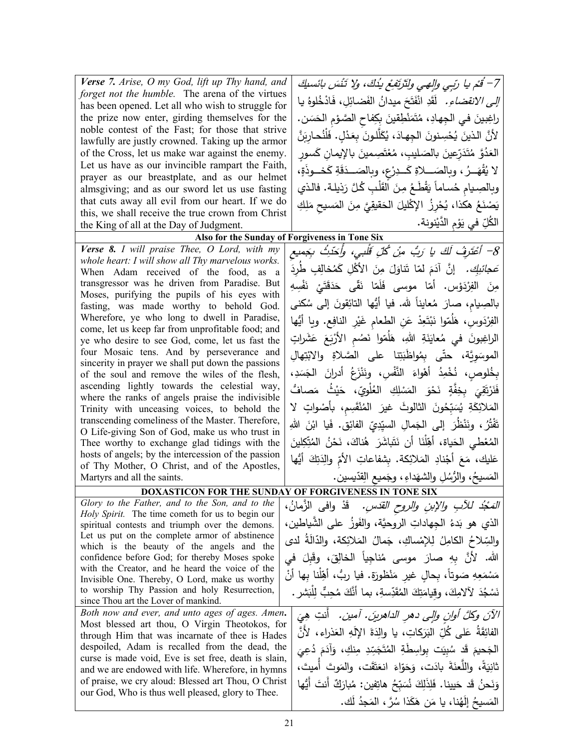| Verse 7. Arise, O my God, lift up Thy hand, and                                                      | 7– قُمْ يا رَبِي والِهِي ولَتَرتَفِعُ يدُكَ، ولا تَنْسَ بائسكِ                  |
|------------------------------------------------------------------------------------------------------|---------------------------------------------------------------------------------|
| forget not the humble. The arena of the virtues                                                      | <i>إلى الانقضاءِ.</i> لَقَدِ انْفَتَحَ ميدانُ الفَضائِلِ، فَادْخُلوهُ يا        |
| has been opened. Let all who wish to struggle for                                                    |                                                                                 |
| the prize now enter, girding themselves for the                                                      | راغِبينَ في الجِهادِ، مُتَمَنْطِقينَ بِكِفاحِ الصَّوْمِ الحَسَنِ.               |
| noble contest of the Fast; for those that strive<br>lawfully are justly crowned. Taking up the armor | لأنَّ الذينَ يُحْسِنونَ الجِهادَ، يُكَلَّلونَ بِعَدْلٍ. فَلَنُحارِبَنَّ         |
| of the Cross, let us make war against the enemy.                                                     | العَدُوَّ مُتَدَرِّعِينَ بالصَليبِ، مُعْتَصِمينَ بالإِيمانِ كَسورِ              |
| Let us have as our invincible rampart the Faith,                                                     |                                                                                 |
| prayer as our breastplate, and as our helmet                                                         | لا يُقْهَــرُ، وبِالصَـــلاةِ كَـــدِرْعٍ، وبِالصَـــدَقَةِ كَخـــوذَةٍ،        |
| almsgiving; and as our sword let us use fasting                                                      | وبالصِيام حُساماً يَقْطَعُ مِنَ الْقَلْبِ كُلَّ رَذِيلة. فالذي                  |
| that cuts away all evil from our heart. If we do                                                     | يَصْنَعُ هكذا، يُحْرِزُ الإكْليلَ الحَقيقِيَّ مِنَ المَسيحِ مَلِكِ              |
| this, we shall receive the true crown from Christ                                                    |                                                                                 |
| the King of all at the Day of Judgment.                                                              | الكُلِّ في يَوْمِ الدَّيْنونة.                                                  |
|                                                                                                      | Also for the Sunday of Forgiveness in Tone Six                                  |
| Verse 8. I will praise Thee, O Lord, with my<br>whole heart: I will show all Thy marvelous works.    | 8– أَعْتَرِفُ لَكَ يا رَبُّ مِنْ كُلِّ قَلْبِي، وأَحَدِثُ بِجَمِيعِ             |
| When Adam received of the food, as a                                                                 | صَ <i>جائِبِك.</i> إنَّ آدَمَ لمّا تَناوَلَ مِنَ الأكْلِ كَمُخالِفٍ طُردَ       |
| transgressor was he driven from Paradise. But                                                        | مِنَ الفِرْدَوْس. أَمّا موسى فَلَمّا نَقّى حَدَقَتَيْ نَفْسِهِ                  |
| Moses, purifying the pupils of his eyes with                                                         |                                                                                 |
| fasting, was made worthy to behold God.                                                              | بالصِيام، صارَ مُعايناً لله. فيا أيُّها التائِقونَ إلى سُكنى                    |
| Wherefore, ye who long to dwell in Paradise,                                                         | الفِرْدَوسِ، هَلُمّوا نَبْتَعِدْ عَنِ الطعام غَيْرِ النافِعِ. ويا أَيُّها       |
| come, let us keep far from unprofitable food; and<br>ye who desire to see God, come, let us fast the | الراغِبونَ في مُعايَنَةِ اللهِ، هَلَمّوا نَصُم الأَرْبَعَ عَشَراتٍ              |
| four Mosaic tens. And by perseverance and                                                            |                                                                                 |
| sincerity in prayer we shall put down the passions                                                   | الموسَوِيَّة، حتَّى بِمُواظَبَتِنا على الصَّلاةِ والابْتِهالِ                   |
| of the soul and remove the wiles of the flesh,                                                       | بِخُلوصٍ، نُخْمِدُ أَهْواءَ النَّفْسِ، ونَنْزَعُ أَدرانَ الْجَسَدِ،             |
| ascending lightly towards the celestial way,                                                         | فَنَرْتَقِيَ بِخِفَّةٍ نَحْوَ المَسْلِكِ الْعُلْوِيِّ، حَيْثُ مَصافُّ           |
| where the ranks of angels praise the indivisible<br>Trinity with unceasing voices, to behold the     | المَلائِكَةِ يُسَبِّحُونَ الثالوثَ غيرَ المُنْقَسِم، بأصْواتٍ لا                |
| transcending comeliness of the Master. Therefore,                                                    |                                                                                 |
| O Life-giving Son of God, make us who trust in                                                       | تَفْتُرُ ، ونَنْظَرَ  إلى  الجَمالِ  السيِّدِيِّ  الفائِقِ.  فَيا  ابْنَ  اللهِ |
| Thee worthy to exchange glad tidings with the                                                        | المُعْطى الحَياة، أَهِّلْنَا أَن نَتَباشَرَ هُناكَ، نَحْنُ المُتِّكِلينَ        |
| hosts of angels; by the intercession of the passion                                                  | عَليك، مَعَ أَجْنادِ المَلائِكة. بِشفاعاتِ الأُمِّ والِدَتِكَ أَيُّها           |
| of Thy Mother, O Christ, and of the Apostles,                                                        |                                                                                 |
| Martyrs and all the saints.                                                                          | المَسيحُ، والرُّسُلِ والشهَداءِ، وجَميع القدّيسين.                              |
|                                                                                                      | DOXASTICON FOR THE SUNDAY OF FORGIVENESS IN TONE SIX                            |
| Glory to the Father, and to the Son, and to the<br>Holy Spirit. The time cometh for us to begin our  | <i>المَجْدُ للأَبِ والإبنِ والروح القدّسِ.</i> قَدْ وافى الزَّمانُ،             |
| spiritual contests and triumph over the demons.                                                      | الذي هو بَدءُ الجهاداتِ الروحيَّة، والفَوزُ على الشَّياطين،                     |
| Let us put on the complete armor of abstinence                                                       | والسِّلاحُ الكامِلُ لِلإِمْساكِ، جَمالُ المَلائِكة، والدّالَةُ لدى              |
| which is the beauty of the angels and the                                                            |                                                                                 |
| confidence before God; for thereby Moses spoke                                                       | الله. لأنَّ بِهِ صارَ موسى مُناجِياً الخالِقَ، وقَبلَ في                        |
| with the Creator, and he heard the voice of the<br>Invisible One. Thereby, O Lord, make us worthy    | مَسْمَعِهِ صَوتاً، بِحالِ غيرِ مَنْظورَةِ. فيا ربُّ، أَهِّلْنا بِها أَنْ        |
| to worship Thy Passion and holy Resurrection,                                                        | نَسْجُدَ لآلامِكَ، وقِيامَتِكَ المُقَدِّسةِ، بما أنَّكَ مُحِبٌّ لِلْبَشرِ .     |
| since Thou art the Lover of mankind.                                                                 |                                                                                 |
| Both now and ever, and unto ages of ages. Amen.                                                      | الآنَ وكلَّ أوانٍ وإلى دهرِ الداهرينَ. آمين. أنتِ هِيَ                          |
| Most blessed art thou, O Virgin Theotokos, for                                                       | الفائِقَةُ عَلى كُلِّ البَرَكاتِ، يا والِدَةَ الإِلَهِ العَذراءِ، لأَنَّ        |
| through Him that was incarnate of thee is Hades<br>despoiled, Adam is recalled from the dead, the    |                                                                                 |
| curse is made void, Eve is set free, death is slain,                                                 | الْجَحيمَ قَد سُبِيَت بِواسِطَةِ الْمُتَجَسِّدِ مِنكِ، وَآدَمَ دُعِيَ           |
| and we are endowed with life. Wherefore, in hymns                                                    | ثانِيَةً، واللُّعنَةَ بادَت، وَحَوّاءَ انعَتَقَت، والمَوتَ أميتَ،               |
| of praise, we cry aloud: Blessed art Thou, O Christ                                                  | وَنَحنُ قَد حَيينا. فَلِذَلِكَ نُسَبِّحُ هاتِفين: مُبارَكٌ أَنتَ أَيُّها        |
| our God, Who is thus well pleased, glory to Thee.                                                    | المَسيحُ إِلَهُنا، يا مَن هَكَذا سُرَّ ، المَجدُ لَك.                           |
|                                                                                                      |                                                                                 |